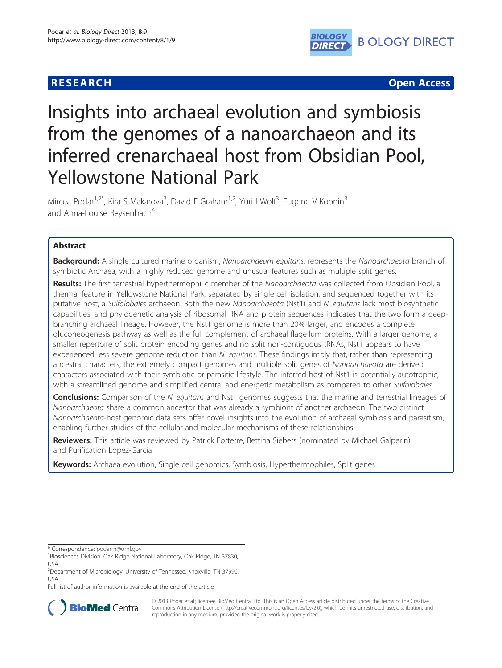## **RESEARCH CHE CHE Open Access**



# Insights into archaeal evolution and symbiosis from the genomes of a nanoarchaeon and its inferred crenarchaeal host from Obsidian Pool, Yellowstone National Park

Mircea Podar<sup>1,2\*</sup>, Kira S Makarova<sup>3</sup>, David E Graham<sup>1,2</sup>, Yuri I Wolf<sup>3</sup>, Eugene V Koonin<sup>3</sup> and Anna-Louise Reysenbach<sup>4</sup>

## Abstract

Background: A single cultured marine organism, Nanoarchaeum equitans, represents the Nanoarchaeota branch of symbiotic Archaea, with a highly reduced genome and unusual features such as multiple split genes.

Results: The first terrestrial hyperthermophilic member of the Nanoarchaeota was collected from Obsidian Pool, a thermal feature in Yellowstone National Park, separated by single cell isolation, and sequenced together with its putative host, a Sulfolobales archaeon. Both the new Nanoarchaeota (Nst1) and N. equitans lack most biosynthetic capabilities, and phylogenetic analysis of ribosomal RNA and protein sequences indicates that the two form a deepbranching archaeal lineage. However, the Nst1 genome is more than 20% larger, and encodes a complete gluconeogenesis pathway as well as the full complement of archaeal flagellum proteins. With a larger genome, a smaller repertoire of split protein encoding genes and no split non-contiguous tRNAs, Nst1 appears to have experienced less severe genome reduction than N. equitans. These findings imply that, rather than representing ancestral characters, the extremely compact genomes and multiple split genes of Nanoarchaeota are derived characters associated with their symbiotic or parasitic lifestyle. The inferred host of Nst1 is potentially autotrophic, with a streamlined genome and simplified central and energetic metabolism as compared to other Sulfolobales.

Conclusions: Comparison of the N. equitans and Nst1 genomes suggests that the marine and terrestrial lineages of Nanoarchaeota share a common ancestor that was already a symbiont of another archaeon. The two distinct Nanoarchaeota-host genomic data sets offer novel insights into the evolution of archaeal symbiosis and parasitism, enabling further studies of the cellular and molecular mechanisms of these relationships.

Reviewers: This article was reviewed by Patrick Forterre, Bettina Siebers (nominated by Michael Galperin) and Purification Lopez-Garcia

Keywords: Archaea evolution, Single cell genomics, Symbiosis, Hyperthermophiles, Split genes

Full list of author information is available at the end of the article



© 2013 Podar et al.; licensee BioMed Central Ltd. This is an Open Access article distributed under the terms of the Creative Commons Attribution License [\(http://creativecommons.org/licenses/by/2.0\)](http://creativecommons.org/licenses/by/2.0), which permits unrestricted use, distribution, and reproduction in any medium, provided the original work is properly cited.

<sup>\*</sup> Correspondence: [podarm@ornl.gov](mailto:podarm@ornl.gov) <sup>1</sup>

<sup>&</sup>lt;sup>1</sup> Biosciences Division, Oak Ridge National Laboratory, Oak Ridge, TN 37830, USA

<sup>&</sup>lt;sup>2</sup>Department of Microbiology, University of Tennessee, Knoxville, TN 37996, USA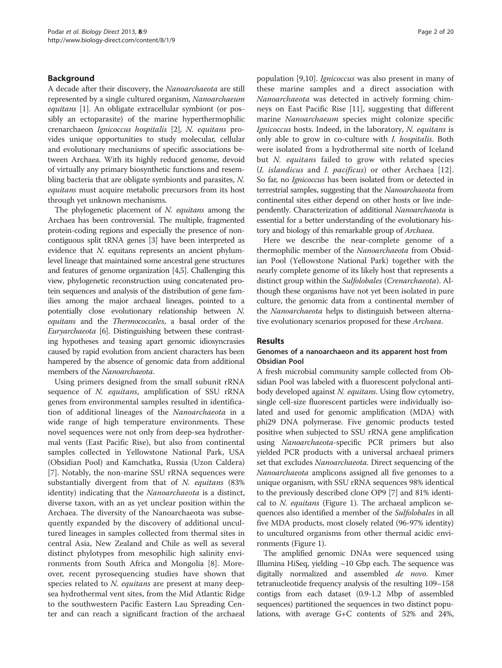## Background

A decade after their discovery, the Nanoarchaeota are still represented by a single cultured organism, Nanoarchaeum equitans [[1](#page-18-0)]. An obligate extracellular symbiont (or possibly an ectoparasite) of the marine hyperthermophilic crenarchaeon Ignicoccus hospitalis [[2\]](#page-18-0), N. equitans provides unique opportunities to study molecular, cellular and evolutionary mechanisms of specific associations between Archaea. With its highly reduced genome, devoid of virtually any primary biosynthetic functions and resembling bacteria that are obligate symbionts and parasites, N. equitans must acquire metabolic precursors from its host through yet unknown mechanisms.

The phylogenetic placement of N. equitans among the Archaea has been controversial. The multiple, fragmented protein-coding regions and especially the presence of noncontiguous split tRNA genes [\[3](#page-18-0)] have been interpreted as evidence that N. equitans represents an ancient phylumlevel lineage that maintained some ancestral gene structures and features of genome organization [\[4,5\]](#page-18-0). Challenging this view, phylogenetic reconstruction using concatenated protein sequences and analysis of the distribution of gene families among the major archaeal lineages, pointed to a potentially close evolutionary relationship between N. equitans and the Thermococcales, a basal order of the Euryarchaeota [\[6\]](#page-18-0). Distinguishing between these contrasting hypotheses and teasing apart genomic idiosyncrasies caused by rapid evolution from ancient characters has been hampered by the absence of genomic data from additional members of the Nanoarchaeota.

Using primers designed from the small subunit rRNA sequence of N. equitans, amplification of SSU rRNA genes from environmental samples resulted in identification of additional lineages of the Nanoarchaeota in a wide range of high temperature environments. These novel sequences were not only from deep-sea hydrothermal vents (East Pacific Rise), but also from continental samples collected in Yellowstone National Park, USA (Obsidian Pool) and Kamchatka, Russia (Uzon Caldera) [[7\]](#page-18-0). Notably, the non-marine SSU rRNA sequences were substantially divergent from that of N. equitans (83% identity) indicating that the *Nanoarchaeota* is a distinct, diverse taxon, with an as yet unclear position within the Archaea. The diversity of the Nanoarchaeota was subsequently expanded by the discovery of additional uncultured lineages in samples collected from thermal sites in central Asia, New Zealand and Chile as well as several distinct phylotypes from mesophilic high salinity environments from South Africa and Mongolia [[8\]](#page-18-0). Moreover, recent pyrosequencing studies have shown that species related to *N. equitans* are present at many deepsea hydrothermal vent sites, from the Mid Atlantic Ridge to the southwestern Pacific Eastern Lau Spreading Center and can reach a significant fraction of the archaeal

population [\[9,10\]](#page-18-0). Ignicoccus was also present in many of these marine samples and a direct association with Nanoarchaeota was detected in actively forming chimneys on East Pacific Rise [[11\]](#page-18-0), suggesting that different marine Nanoarchaeum species might colonize specific Ignicoccus hosts. Indeed, in the laboratory, N. equitans is only able to grow in co-culture with *I. hospitalis*. Both were isolated from a hydrothermal site north of Iceland but *N. equitans* failed to grow with related species (I. islandicus and I. pacificus) or other Archaea [[12](#page-18-0)]. So far, no Ignicoccus has been isolated from or detected in terrestrial samples, suggesting that the Nanoarchaeota from continental sites either depend on other hosts or live independently. Characterization of additional Nanoarchaeota is essential for a better understanding of the evolutionary history and biology of this remarkable group of Archaea.

Here we describe the near-complete genome of a thermophilic member of the Nanoarchaeota from Obsidian Pool (Yellowstone National Park) together with the nearly complete genome of its likely host that represents a distinct group within the Sulfolobales (Crenarchaeota). Although these organisms have not yet been isolated in pure culture, the genomic data from a continental member of the Nanoarchaeota helps to distinguish between alternative evolutionary scenarios proposed for these Archaea.

## Results

## Genomes of a nanoarchaeon and its apparent host from Obsidian Pool

A fresh microbial community sample collected from Obsidian Pool was labeled with a fluorescent polyclonal antibody developed against N. equitans. Using flow cytometry, single cell-size fluorescent particles were individually isolated and used for genomic amplification (MDA) with phi29 DNA polymerase. Five genomic products tested positive when subjected to SSU rRNA gene amplification using Nanoarchaeota-specific PCR primers but also yielded PCR products with a universal archaeal primers set that excludes Nanoarchaeota. Direct sequencing of the Nanoarchaeota amplicons assigned all five genomes to a unique organism, with SSU rRNA sequences 98% identical to the previously described clone OP9 [\[7](#page-18-0)] and 81% identical to  $N$ . *equitans* (Figure [1](#page-2-0)). The archaeal amplicon sequences also identified a member of the *Sulfolobales* in all five MDA products, most closely related (96-97% identity) to uncultured organisms from other thermal acidic environments (Figure [1\)](#page-2-0).

The amplified genomic DNAs were sequenced using Illumina HiSeq, yielding  $~10$  Gbp each. The sequence was digitally normalized and assembled *de novo*. Kmer tetranucleotide frequency analysis of the resulting 109–158 contigs from each dataset (0.9-1.2 Mbp of assembled sequences) partitioned the sequences in two distinct populations, with average G+C contents of 52% and 24%,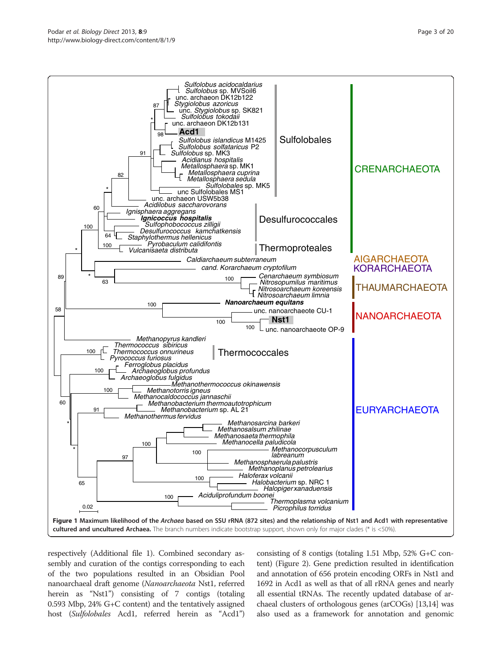<span id="page-2-0"></span>

respectively (Additional file [1](#page-15-0)). Combined secondary assembly and curation of the contigs corresponding to each of the two populations resulted in an Obsidian Pool nanoarchaeal draft genome (Nanoarchaeota Nst1, referred herein as "Nst1") consisting of 7 contigs (totaling 0.593 Mbp, 24% G+C content) and the tentatively assigned host (Sulfolobales Acd1, referred herein as "Acd1")

consisting of 8 contigs (totaling 1.51 Mbp, 52% G+C content) (Figure [2](#page-3-0)). Gene prediction resulted in identification and annotation of 656 protein encoding ORFs in Nst1 and 1692 in Acd1 as well as that of all rRNA genes and nearly all essential tRNAs. The recently updated database of archaeal clusters of orthologous genes (arCOGs) [[13,14\]](#page-18-0) was also used as a framework for annotation and genomic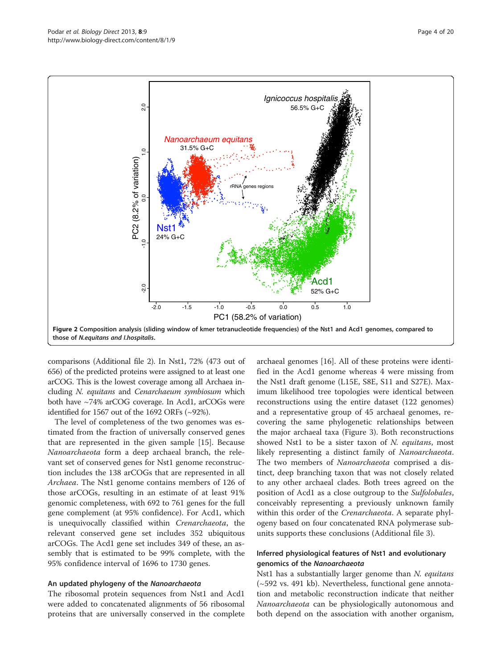comparisons (Additional file [2](#page-15-0)). In Nst1, 72% (473 out of 656) of the predicted proteins were assigned to at least one arCOG. This is the lowest coverage among all Archaea including N. equitans and Cenarchaeum symbiosum which both have ~74% arCOG coverage. In Acd1, arCOGs were identified for 1567 out of the 1692 ORFs (~92%).

The level of completeness of the two genomes was estimated from the fraction of universally conserved genes that are represented in the given sample [\[15](#page-18-0)]. Because Nanoarchaeota form a deep archaeal branch, the relevant set of conserved genes for Nst1 genome reconstruction includes the 138 arCOGs that are represented in all Archaea. The Nst1 genome contains members of 126 of those arCOGs, resulting in an estimate of at least 91% genomic completeness, with 692 to 761 genes for the full gene complement (at 95% confidence). For Acd1, which is unequivocally classified within Crenarchaeota, the relevant conserved gene set includes 352 ubiquitous arCOGs. The Acd1 gene set includes 349 of these, an assembly that is estimated to be 99% complete, with the 95% confidence interval of 1696 to 1730 genes.

### An updated phylogeny of the Nanoarchaeota

The ribosomal protein sequences from Nst1 and Acd1 were added to concatenated alignments of 56 ribosomal proteins that are universally conserved in the complete

archaeal genomes [[16\]](#page-18-0). All of these proteins were identified in the Acd1 genome whereas 4 were missing from the Nst1 draft genome (L15E, S8E, S11 and S27E). Maximum likelihood tree topologies were identical between reconstructions using the entire dataset (122 genomes) and a representative group of 45 archaeal genomes, recovering the same phylogenetic relationships between the major archaeal taxa (Figure [3](#page-4-0)). Both reconstructions showed Nst1 to be a sister taxon of N. equitans, most likely representing a distinct family of Nanoarchaeota. The two members of Nanoarchaeota comprised a distinct, deep branching taxon that was not closely related to any other archaeal clades. Both trees agreed on the position of Acd1 as a close outgroup to the *Sulfolobales*, conceivably representing a previously unknown family within this order of the *Crenarchaeota*. A separate phylogeny based on four concatenated RNA polymerase subunits supports these conclusions (Additional file [3\)](#page-15-0).

## Inferred physiological features of Nst1 and evolutionary genomics of the Nanoarchaeota

Nst1 has a substantially larger genome than N. equitans (~592 vs. 491 kb). Nevertheless, functional gene annotation and metabolic reconstruction indicate that neither Nanoarchaeota can be physiologically autonomous and both depend on the association with another organism,

<span id="page-3-0"></span>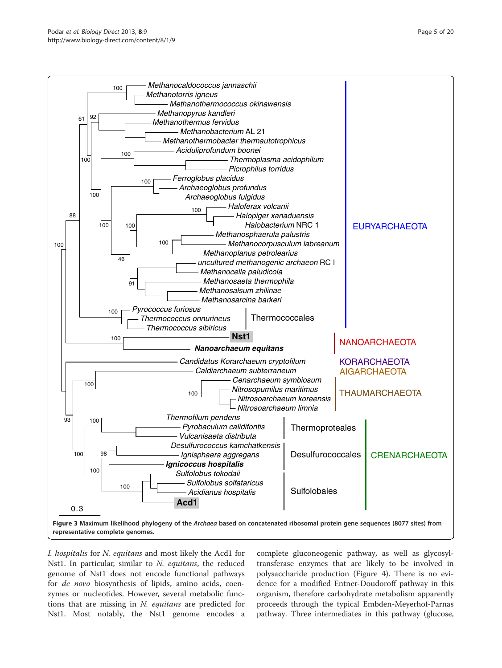<span id="page-4-0"></span>

I. hospitalis for N. equitans and most likely the Acd1 for Nst1. In particular, similar to N. equitans, the reduced genome of Nst1 does not encode functional pathways for de novo biosynthesis of lipids, amino acids, coenzymes or nucleotides. However, several metabolic functions that are missing in N. equitans are predicted for Nst1. Most notably, the Nst1 genome encodes a complete gluconeogenic pathway, as well as glycosyltransferase enzymes that are likely to be involved in polysaccharide production (Figure [4\)](#page-5-0). There is no evidence for a modified Entner-Doudoroff pathway in this organism, therefore carbohydrate metabolism apparently proceeds through the typical Embden-Meyerhof-Parnas pathway. Three intermediates in this pathway (glucose,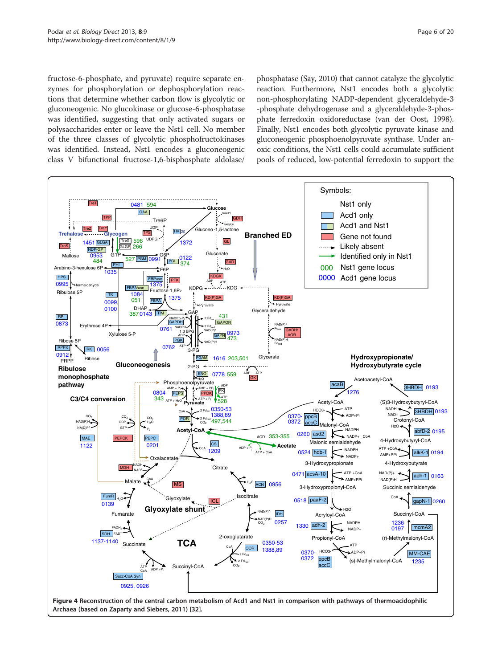<span id="page-5-0"></span>fructose-6-phosphate, and pyruvate) require separate enzymes for phosphorylation or dephosphorylation reactions that determine whether carbon flow is glycolytic or gluconeogenic. No glucokinase or glucose-6-phosphatase was identified, suggesting that only activated sugars or polysaccharides enter or leave the Nst1 cell. No member of the three classes of glycolytic phosphofructokinases was identified. Instead, Nst1 encodes a gluconeogenic class V bifunctional fructose-1,6-bisphosphate aldolase/

phosphatase (Say, 2010) that cannot catalyze the glycolytic reaction. Furthermore, Nst1 encodes both a glycolytic non-phosphorylating NADP-dependent glyceraldehyde-3 -phosphate dehydrogenase and a glyceraldehyde-3-phosphate ferredoxin oxidoreductase (van der Oost, 1998). Finally, Nst1 encodes both glycolytic pyruvate kinase and gluconeogenic phosphoenolpyruvate synthase. Under anoxic conditions, the Nst1 cells could accumulate sufficient pools of reduced, low-potential ferredoxin to support the

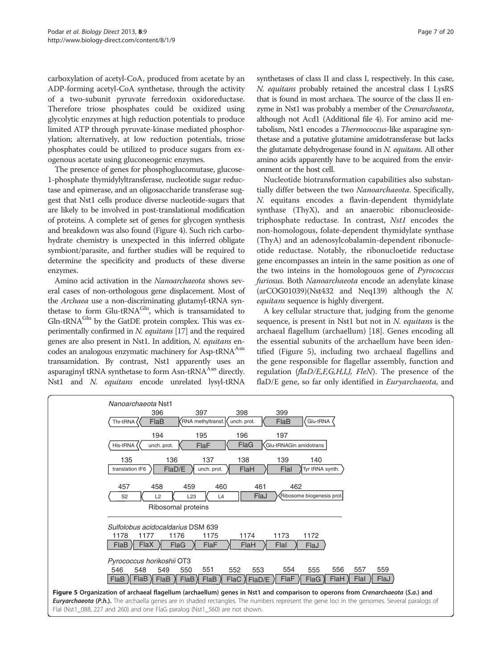carboxylation of acetyl-CoA, produced from acetate by an ADP-forming acetyl-CoA synthetase, through the activity of a two-subunit pyruvate ferredoxin oxidoreductase. Therefore triose phosphates could be oxidized using glycolytic enzymes at high reduction potentials to produce limited ATP through pyruvate-kinase mediated phosphorylation; alternatively, at low reduction potentials, triose phosphates could be utilized to produce sugars from exogenous acetate using gluconeogenic enzymes.

The presence of genes for phosphoglucomutase, glucose-1-phosphate thymidylyltransferase, nucleotide sugar reductase and epimerase, and an oligosaccharide transferase suggest that Nst1 cells produce diverse nucleotide-sugars that are likely to be involved in post-translational modification of proteins. A complete set of genes for glycogen synthesis and breakdown was also found (Figure [4](#page-5-0)). Such rich carbohydrate chemistry is unexpected in this inferred obligate symbiont/parasite, and further studies will be required to determine the specificity and products of these diverse enzymes.

Amino acid activation in the Nanoarchaeota shows several cases of non-orthologous gene displacement. Most of the Archaea use a non-discriminating glutamyl-tRNA synthetase to form Glu-tRNA<sup>Gln</sup>, which is transamidated to  $Gln$ -tRNA $Gln$  by the GatDE protein complex. This was experimentally confirmed in N. equitans [[17](#page-18-0)] and the required genes are also present in Nst1. In addition, N. equitans encodes an analogous enzymatic machinery for Asp-tRNA<sup>Asn</sup> transamidation. By contrast, Nst1 apparently uses an asparaginyl tRNA synthetase to form Asn-tRNA<sup>Asn</sup> directly. Nst1 and N. equitans encode unrelated lysyl-tRNA

synthetases of class II and class I, respectively. In this case, N. equitans probably retained the ancestral class I LysRS that is found in most archaea. The source of the class II enzyme in Nst1 was probably a member of the Crenarchaeota, although not Acd1 (Additional file [4](#page-15-0)). For amino acid metabolism, Nst1 encodes a Thermococcus-like asparagine synthetase and a putative glutamine amidotransferase but lacks the glutamate dehydrogenase found in N. equitans. All other amino acids apparently have to be acquired from the environment or the host cell.

Nucleotide biotransformation capabilities also substantially differ between the two Nanoarchaeota. Specifically, N. equitans encodes a flavin-dependent thymidylate synthase (ThyX), and an anaerobic ribonucleosidetriphosphate reductase. In contrast, Nst1 encodes the non-homologous, folate-dependent thymidylate synthase (ThyA) and an adenosylcobalamin-dependent ribonucleotide reductase. Notably, the ribonucloetide reductase gene encompasses an intein in the same position as one of the two inteins in the homologouos gene of Pyrococcus furiosus. Both Nanoarchaeota encode an adenylate kinase  $\ar{COG}$ 01039)(Nst432 and Neq139) although the N. equitans sequence is highly divergent.

A key cellular structure that, judging from the genome sequence, is present in Nst1 but not in  $N$ . equitans is the archaeal flagellum (archaellum) [[18\]](#page-18-0). Genes encoding all the essential subunits of the archaellum have been identified (Figure 5), including two archaeal flagellins and the gene responsible for flagellar assembly, function and regulation  $\left(\frac{f}{aD/E}, F, G, H, I, J, F/eN\right)$ . The presence of the flaD/E gene, so far only identified in *Euryarchaeota*, and

| Nanoarchaeota Nst1                                                                                                                                 |
|----------------------------------------------------------------------------------------------------------------------------------------------------|
| 397<br>398<br>399<br>396                                                                                                                           |
| Glu-tRNA<br>FlaB<br>FlaB<br><b>RNA</b> methyltransf.<br>unch. prot.<br>Thr-tRNA                                                                    |
|                                                                                                                                                    |
| 194<br>195<br>196<br>197                                                                                                                           |
| His-tRNA<br><b>FlaG</b><br>unch. prot.<br><b>FlaF</b><br>Glu-tRNAGIn amidotrans                                                                    |
|                                                                                                                                                    |
| 135<br>136<br>137<br>138<br>139<br>140                                                                                                             |
| FlaD/E<br>FlaH<br>Flal<br>translation IF6<br>unch. prot.<br>Tyr tRNA synth.                                                                        |
|                                                                                                                                                    |
|                                                                                                                                                    |
| 457<br>458<br>459<br>460<br>461<br>462                                                                                                             |
| Ribosome biogenesis prot.<br>FlaJ<br>S <sub>2</sub><br>L2<br>L <sub>23</sub><br>L4                                                                 |
| Ribosomal proteins                                                                                                                                 |
|                                                                                                                                                    |
|                                                                                                                                                    |
| Sulfolobus acidocaldarius DSM 639                                                                                                                  |
| 1173<br>1172<br>1178<br>1177<br>1176<br>1175<br>1174                                                                                               |
| <b>FlaX</b><br>Flal<br><b>FlaB</b><br><b>FlaG</b><br><b>FlaF</b><br><b>FlaH</b><br>FlaJ                                                            |
|                                                                                                                                                    |
| Pyrococcus horikoshii OT3                                                                                                                          |
| 557<br>559<br>556<br>553<br>546<br>548<br>549<br>551<br>552<br>554<br>555<br>550                                                                   |
| FlagJ<br><b>FlaF</b><br><b>FlaH</b><br>Flal<br>Flag<br>FlaB<br>Flag<br><b>FlaB</b><br>FlaC<br>$FlaD/E$ )<br><b>FlaG</b><br><b>FlaB</b>             |
|                                                                                                                                                    |
| Figure 5 Organization of archaeal flagellum (archaellum) genes in Nst1 and comparison to operons from Crenarchaeota (S.a.) and                     |
| <b>Euryarchaeota (P.h.).</b> The archaella genes are in shaded rectangles. The numbers represent the gene loci in the genomes. Several paralogs of |
| Flal (Nst1_088, 227 and 260) and one FlaG paralog (Nst1_560) are not shown.                                                                        |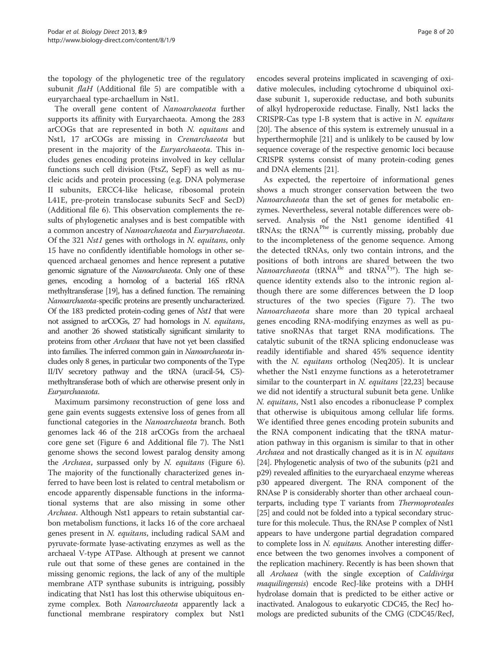the topology of the phylogenetic tree of the regulatory subunit flaH (Additional file [5](#page-15-0)) are compatible with a euryarchaeal type-archaellum in Nst1.

The overall gene content of Nanoarchaeota further supports its affinity with Euryarchaeota. Among the 283 arCOGs that are represented in both N. equitans and Nst1, 17 arCOGs are missing in Crenarchaeota but present in the majority of the Euryarchaeota. This includes genes encoding proteins involved in key cellular functions such cell division (FtsZ, SepF) as well as nucleic acids and protein processing (e.g. DNA polymerase II subunits, ERCC4-like helicase, ribosomal protein L41E, pre-protein translocase subunits SecF and SecD) (Additional file [6\)](#page-15-0). This observation complements the results of phylogenetic analyses and is best compatible with a common ancestry of Nanoarchaeota and Euryarchaeota. Of the 321 Nst1 genes with orthologs in N. equitans, only 15 have no confidently identifiable homologs in other sequenced archaeal genomes and hence represent a putative genomic signature of the Nanoarchaeota. Only one of these genes, encoding a homolog of a bacterial 16S rRNA methyltransferase [\[19](#page-18-0)], has a defined function. The remaining Nanoarchaeota-specific proteins are presently uncharacterized. Of the 183 predicted protein-coding genes of Nst1 that were not assigned to arCOGs, 27 had homologs in N. equitans, and another 26 showed statistically significant similarity to proteins from other Archaea that have not yet been classified into families. The inferred common gain in Nanoarchaeota includes only 8 genes, in particular two components of the Type II/IV secretory pathway and the tRNA (uracil-54, C5) methyltransferase both of which are otherwise present only in Euryarchaeaota.

Maximum parsimony reconstruction of gene loss and gene gain events suggests extensive loss of genes from all functional categories in the Nanoarchaeota branch. Both genomes lack 46 of the 218 arCOGs from the archaeal core gene set (Figure [6](#page-8-0) and Additional file [7\)](#page-16-0). The Nst1 genome shows the second lowest paralog density among the Archaea, surpassed only by N. equitans (Figure [6](#page-8-0)). The majority of the functionally characterized genes inferred to have been lost is related to central metabolism or encode apparently dispensable functions in the informational systems that are also missing in some other Archaea. Although Nst1 appears to retain substantial carbon metabolism functions, it lacks 16 of the core archaeal genes present in N. equitans, including radical SAM and pyruvate-formate lyase-activating enzymes as well as the archaeal V-type ATPase. Although at present we cannot rule out that some of these genes are contained in the missing genomic regions, the lack of any of the multiple membrane ATP synthase subunits is intriguing, possibly indicating that Nst1 has lost this otherwise ubiquitous enzyme complex. Both Nanoarchaeota apparently lack a functional membrane respiratory complex but Nst1

encodes several proteins implicated in scavenging of oxidative molecules, including cytochrome d ubiquinol oxidase subunit 1, superoxide reductase, and both subunits of alkyl hydroperoxide reductase. Finally, Nst1 lacks the CRISPR-Cas type I-B system that is active in  $N$ . *equitans* [[20](#page-18-0)]. The absence of this system is extremely unusual in a hyperthermophile [\[21\]](#page-18-0) and is unlikely to be caused by low sequence coverage of the respective genomic loci because CRISPR systems consist of many protein-coding genes and DNA elements [\[21](#page-18-0)].

As expected, the repertoire of informational genes shows a much stronger conservation between the two Nanoarchaeota than the set of genes for metabolic enzymes. Nevertheless, several notable differences were observed. Analysis of the Nst1 genome identified 41  $tRNAs$ ; the  $tRNA<sup>Phe</sup>$  is currently missing, probably due to the incompleteness of the genome sequence. Among the detected tRNAs, only two contain introns, and the positions of both introns are shared between the two Nanoarchaeota (tRNA<sup>Ile</sup> and tRNA<sup>Tyr</sup>). The high sequence identity extends also to the intronic region although there are some differences between the D loop structures of the two species (Figure [7](#page-9-0)). The two Nanoarchaeota share more than 20 typical archaeal genes encoding RNA-modifying enzymes as well as putative snoRNAs that target RNA modifications. The catalytic subunit of the tRNA splicing endonuclease was readily identifiable and shared 45% sequence identity with the  $N.$  equitans ortholog (Neq205). It is unclear whether the Nst1 enzyme functions as a heterotetramer similar to the counterpart in  $N$ . *equitans* [[22](#page-18-0),[23](#page-18-0)] because we did not identify a structural subunit beta gene. Unlike N. equitans, Nst1 also encodes a ribonuclease P complex that otherwise is ubiquitous among cellular life forms. We identified three genes encoding protein subunits and the RNA component indicating that the tRNA maturation pathway in this organism is similar to that in other Archaea and not drastically changed as it is in N. equitans [[24](#page-18-0)]. Phylogenetic analysis of two of the subunits (p21 and p29) revealed affinities to the euryarchaeal enzyme whereas p30 appeared divergent. The RNA component of the RNAse P is considerably shorter than other archaeal counterparts, including type T variants from Thermoproteales [[25](#page-18-0)] and could not be folded into a typical secondary structure for this molecule. Thus, the RNAse P complex of Nst1 appears to have undergone partial degradation compared to complete loss in N. equitans. Another interesting difference between the two genomes involves a component of the replication machinery. Recently is has been shown that all *Archaea* (with the single exception of *Caldivirga* maquilingensis) encode RecJ-like proteins with a DHH hydrolase domain that is predicted to be either active or inactivated. Analogous to eukaryotic CDC45, the RecJ homologs are predicted subunits of the CMG (CDC45/RecJ,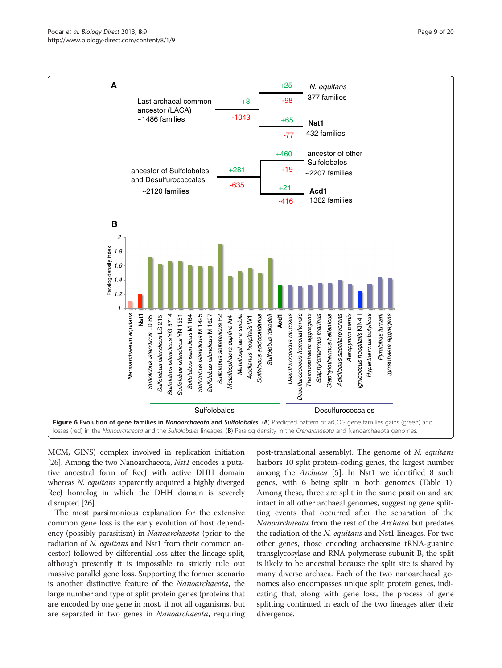<span id="page-8-0"></span>

MCM, GINS) complex involved in replication initiation [[26](#page-18-0)]. Among the two Nanoarchaeota, Nst1 encodes a putative ancestral form of RecJ with active DHH domain whereas *N. equitans* apparently acquired a highly diverged RecJ homolog in which the DHH domain is severely disrupted [[26](#page-18-0)].

The most parsimonious explanation for the extensive common gene loss is the early evolution of host dependency (possibly parasitism) in Nanoarchaeota (prior to the radiation of N. equitans and Nst1 from their common ancestor) followed by differential loss after the lineage split, although presently it is impossible to strictly rule out massive parallel gene loss. Supporting the former scenario is another distinctive feature of the Nanoarchaeota, the large number and type of split protein genes (proteins that are encoded by one gene in most, if not all organisms, but are separated in two genes in Nanoarchaeota, requiring

post-translational assembly). The genome of N. equitans harbors 10 split protein-coding genes, the largest number among the Archaea [\[5](#page-18-0)]. In Nst1 we identified 8 such genes, with 6 being split in both genomes (Table [1](#page-10-0)). Among these, three are split in the same position and are intact in all other archaeal genomes, suggesting gene splitting events that occurred after the separation of the Nanoarchaeota from the rest of the Archaea but predates the radiation of the N. equitans and Nst1 lineages. For two other genes, those encoding archaeosine tRNA-guanine transglycosylase and RNA polymerase subunit B, the split is likely to be ancestral because the split site is shared by many diverse archaea. Each of the two nanoarchaeal genomes also encompasses unique split protein genes, indicating that, along with gene loss, the process of gene splitting continued in each of the two lineages after their divergence.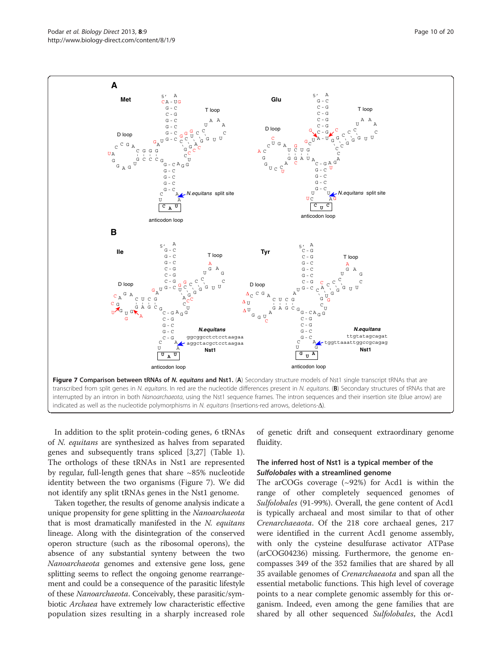<span id="page-9-0"></span>

transcribed from split genes in N. equitans. In red are the nucleotide differences present in N. equitans. (B) Secondary structures of tRNAs that are interrupted by an intron in both Nanoarchaeota, using the Nst1 sequence frames. The intron sequences and their insertion site (blue arrow) are indicated as well as the nucleotide polymorphisms in N. equitans (Insertions-red arrows, deletions-Δ).

In addition to the split protein-coding genes, 6 tRNAs of N. equitans are synthesized as halves from separated genes and subsequently trans spliced [[3,](#page-18-0)[27\]](#page-19-0) (Table [1](#page-10-0)). The orthologs of these tRNAs in Nst1 are represented by regular, full-length genes that share ~85% nucleotide identity between the two organisms (Figure 7). We did not identify any split tRNAs genes in the Nst1 genome.

Taken together, the results of genome analysis indicate a unique propensity for gene splitting in the Nanoarchaeota that is most dramatically manifested in the N. equitans lineage. Along with the disintegration of the conserved operon structure (such as the ribosomal operons), the absence of any substantial synteny between the two Nanoarchaeota genomes and extensive gene loss, gene splitting seems to reflect the ongoing genome rearrangement and could be a consequence of the parasitic lifestyle of these Nanoarchaeota. Conceivably, these parasitic/symbiotic Archaea have extremely low characteristic effective population sizes resulting in a sharply increased role of genetic drift and consequent extraordinary genome fluidity.

## The inferred host of Nst1 is a typical member of the Sulfolobales with a streamlined genome

The arCOGs coverage (~92%) for Acd1 is within the range of other completely sequenced genomes of Sulfolobales (91-99%). Overall, the gene content of Acd1 is typically archaeal and most similar to that of other Crenarchaeaota. Of the 218 core archaeal genes, 217 were identified in the current Acd1 genome assembly, with only the cysteine desulfurase activator ATPase (arCOG04236) missing. Furthermore, the genome encompasses 349 of the 352 families that are shared by all 35 available genomes of *Crenarchaeaota* and span all the essential metabolic functions. This high level of coverage points to a near complete genomic assembly for this organism. Indeed, even among the gene families that are shared by all other sequenced Sulfolobales, the Acd1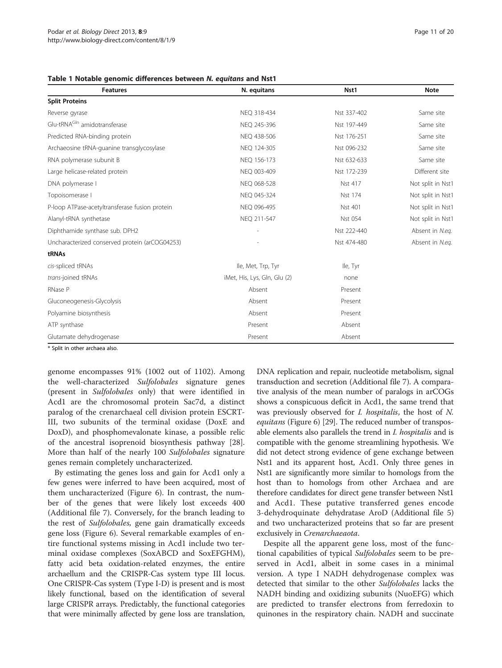<span id="page-10-0"></span>Table 1 Notable genomic differences between N. equitans and Nst1

| <b>Features</b>                                | N. equitans                  | Nst1           | <b>Note</b>       |
|------------------------------------------------|------------------------------|----------------|-------------------|
| <b>Split Proteins</b>                          |                              |                |                   |
| Reverse gyrase                                 | NEQ 318-434                  | Nst 337-402    | Same site         |
| Glu-tRNA <sup>GIn</sup> amidotransferase       | NEQ 245-396                  | Nst 197-449    | Same site         |
| Predicted RNA-binding protein                  | NEQ 438-506                  | Nst 176-251    | Same site         |
| Archaeosine tRNA-quanine transglycosylase      | NEQ 124-305                  | Nst 096-232    | Same site         |
| RNA polymerase subunit B                       | NEQ 156-173                  | Nst 632-633    | Same site         |
| Large helicase-related protein                 | NEQ 003-409                  | Nst 172-239    | Different site    |
| DNA polymerase I                               | NEQ 068-528                  | <b>Nst 417</b> | Not split in Nst1 |
| Topoisomerase I                                | NEQ 045-324                  | Nst 174        | Not split in Nst1 |
| P-loop ATPase-acetyltransferase fusion protein | NEQ 096-495                  | <b>Nst 401</b> | Not split in Nst1 |
| Alanyl-tRNA synthetase                         | NEQ 211-547                  | <b>Nst 054</b> | Not split in Nst1 |
| Diphthamide synthase sub. DPH2                 |                              | Nst 222-440    | Absent in N.eq.   |
| Uncharacterized conserved protein (arCOG04253) |                              | Nst 474-480    | Absent in N.eq.   |
| tRNAs                                          |                              |                |                   |
| cis-spliced tRNAs                              | Ile, Met, Trp, Tyr           | Ile, Tyr       |                   |
| trans-joined tRNAs                             | iMet, His, Lys, Gln, Glu (2) | none           |                   |
| RNase P                                        | Absent                       | Present        |                   |
| Gluconeogenesis-Glycolysis                     | Absent                       | Present        |                   |
| Polyamine biosynthesis                         | Absent                       | Present        |                   |
| ATP synthase                                   | Present                      | Absent         |                   |
| Glutamate dehydrogenase                        | Present                      | Absent         |                   |

\* Split in other archaea also.

genome encompasses 91% (1002 out of 1102). Among the well-characterized Sulfolobales signature genes (present in Sulfolobales only) that were identified in Acd1 are the chromosomal protein Sac7d, a distinct paralog of the crenarchaeal cell division protein ESCRT-III, two subunits of the terminal oxidase (DoxE and DoxD), and phosphomevalonate kinase, a possible relic of the ancestral isoprenoid biosynthesis pathway [\[28](#page-19-0)]. More than half of the nearly 100 Sulfolobales signature genes remain completely uncharacterized.

By estimating the genes loss and gain for Acd1 only a few genes were inferred to have been acquired, most of them uncharacterized (Figure [6](#page-8-0)). In contrast, the number of the genes that were likely lost exceeds 400 (Additional file [7](#page-16-0)). Conversely, for the branch leading to the rest of Sulfolobales, gene gain dramatically exceeds gene loss (Figure [6\)](#page-8-0). Several remarkable examples of entire functional systems missing in Acd1 include two terminal oxidase complexes (SoxABCD and SoxEFGHM), fatty acid beta oxidation-related enzymes, the entire archaellum and the CRISPR-Cas system type III locus. One CRISPR-Cas system (Type I-D) is present and is most likely functional, based on the identification of several large CRISPR arrays. Predictably, the functional categories that were minimally affected by gene loss are translation,

DNA replication and repair, nucleotide metabolism, signal transduction and secretion (Additional file [7\)](#page-16-0). A comparative analysis of the mean number of paralogs in arCOGs shows a conspicuous deficit in Acd1, the same trend that was previously observed for I. hospitalis, the host of N. equitans (Figure [6\)](#page-8-0) [[29](#page-19-0)]. The reduced number of transposable elements also parallels the trend in *I. hospitalis* and is compatible with the genome streamlining hypothesis. We did not detect strong evidence of gene exchange between Nst1 and its apparent host, Acd1. Only three genes in Nst1 are significantly more similar to homologs from the host than to homologs from other Archaea and are therefore candidates for direct gene transfer between Nst1 and Acd1. These putative transferred genes encode 3-dehydroquinate dehydratase AroD (Additional file [5](#page-15-0)) and two uncharacterized proteins that so far are present exclusively in Crenarchaeaota.

Despite all the apparent gene loss, most of the functional capabilities of typical Sulfolobales seem to be preserved in Acd1, albeit in some cases in a minimal version. A type I NADH dehydrogenase complex was detected that similar to the other Sulfolobales lacks the NADH binding and oxidizing subunits (NuoEFG) which are predicted to transfer electrons from ferredoxin to quinones in the respiratory chain. NADH and succinate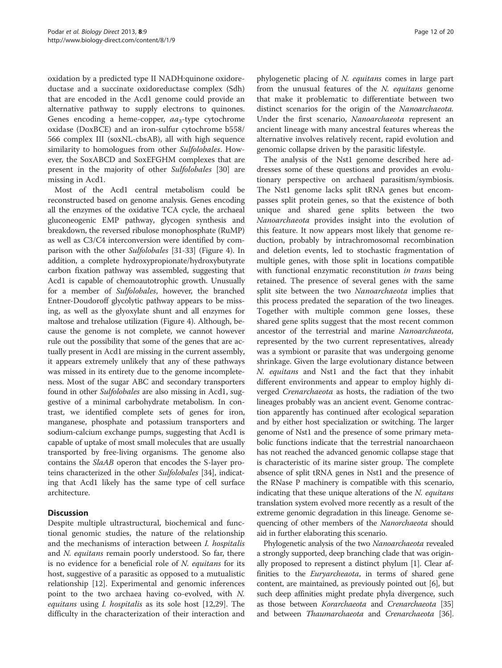oxidation by a predicted type II NADH:quinone oxidoreductase and a succinate oxidoreductase complex (Sdh) that are encoded in the Acd1 genome could provide an alternative pathway to supply electrons to quinones. Genes encoding a heme-copper,  $aa_3$ -type cytochrome oxidase (DoxBCE) and an iron-sulfur cytochrome b558/ 566 complex III (soxNL-cbsAB), all with high sequence similarity to homologues from other Sulfolobales. However, the SoxABCD and SoxEFGHM complexes that are present in the majority of other Sulfolobales [[30\]](#page-19-0) are missing in Acd1.

Most of the Acd1 central metabolism could be reconstructed based on genome analysis. Genes encoding all the enzymes of the oxidative TCA cycle, the archaeal gluconeogenic EMP pathway, glycogen synthesis and breakdown, the reversed ribulose monophosphate (RuMP) as well as C3/C4 interconversion were identified by comparison with the other Sulfolobales [[31](#page-19-0)-[33](#page-19-0)] (Figure [4](#page-5-0)). In addition, a complete hydroxypropionate/hydroxybutyrate carbon fixation pathway was assembled, suggesting that Acd1 is capable of chemoautotrophic growth. Unusually for a member of Sulfolobales, however, the branched Entner-Doudoroff glycolytic pathway appears to be missing, as well as the glyoxylate shunt and all enzymes for maltose and trehalose utilization (Figure [4\)](#page-5-0). Although, because the genome is not complete, we cannot however rule out the possibility that some of the genes that are actually present in Acd1 are missing in the current assembly, it appears extremely unlikely that any of these pathways was missed in its entirety due to the genome incompleteness. Most of the sugar ABC and secondary transporters found in other Sulfolobales are also missing in Acd1, suggestive of a minimal carbohydrate metabolism. In contrast, we identified complete sets of genes for iron, manganese, phosphate and potassium transporters and sodium-calcium exchange pumps, suggesting that Acd1 is capable of uptake of most small molecules that are usually transported by free-living organisms. The genome also contains the SlaAB operon that encodes the S-layer proteins characterized in the other Sulfolobales [[34](#page-19-0)], indicating that Acd1 likely has the same type of cell surface architecture.

## **Discussion**

Despite multiple ultrastructural, biochemical and functional genomic studies, the nature of the relationship and the mechanisms of interaction between I. hospitalis and *N. equitans* remain poorly understood. So far, there is no evidence for a beneficial role of  $N$ . *equitans* for its host, suggestive of a parasitic as opposed to a mutualistic relationship [\[12](#page-18-0)]. Experimental and genomic inferences point to the two archaea having co-evolved, with N. equitans using I. hospitalis as its sole host [\[12](#page-18-0)[,29](#page-19-0)]. The difficulty in the characterization of their interaction and

phylogenetic placing of N. equitans comes in large part from the unusual features of the N. equitans genome that make it problematic to differentiate between two distinct scenarios for the origin of the Nanoarchaeota. Under the first scenario, Nanoarchaeota represent an ancient lineage with many ancestral features whereas the alternative involves relatively recent, rapid evolution and genomic collapse driven by the parasitic lifestyle.

The analysis of the Nst1 genome described here addresses some of these questions and provides an evolutionary perspective on archaeal parasitism/symbiosis. The Nst1 genome lacks split tRNA genes but encompasses split protein genes, so that the existence of both unique and shared gene splits between the two Nanoarchaeota provides insight into the evolution of this feature. It now appears most likely that genome reduction, probably by intrachromosomal recombination and deletion events, led to stochastic fragmentation of multiple genes, with those split in locations compatible with functional enzymatic reconstitution in trans being retained. The presence of several genes with the same split site between the two Nanoarchaeota implies that this process predated the separation of the two lineages. Together with multiple common gene losses, these shared gene splits suggest that the most recent common ancestor of the terrestrial and marine Nanoarchaeota, represented by the two current representatives, already was a symbiont or parasite that was undergoing genome shrinkage. Given the large evolutionary distance between N. equitans and Nst1 and the fact that they inhabit different environments and appear to employ highly diverged Crenarchaeota as hosts, the radiation of the two lineages probably was an ancient event. Genome contraction apparently has continued after ecological separation and by either host specialization or switching. The larger genome of Nst1 and the presence of some primary metabolic functions indicate that the terrestrial nanoarchaeon has not reached the advanced genomic collapse stage that is characteristic of its marine sister group. The complete absence of split tRNA genes in Nst1 and the presence of the RNase P machinery is compatible with this scenario, indicating that these unique alterations of the  $N$ . *equitans* translation system evolved more recently as a result of the extreme genomic degradation in this lineage. Genome sequencing of other members of the Nanorchaeota should aid in further elaborating this scenario.

Phylogenetic analysis of the two Nanoarchaeota revealed a strongly supported, deep branching clade that was originally proposed to represent a distinct phylum [\[1](#page-18-0)]. Clear affinities to the Euryarcheaota, in terms of shared gene content, are maintained, as previously pointed out [\[6\]](#page-18-0), but such deep affinities might predate phyla divergence, such as those between Korarchaeota and Crenarchaeota [\[35](#page-19-0)] and between Thaumarchaeota and Crenarchaeota [\[36](#page-19-0)].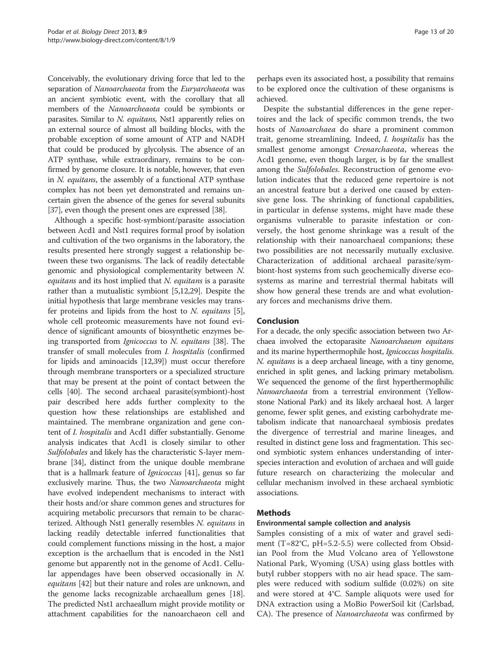Conceivably, the evolutionary driving force that led to the separation of Nanoarchaeota from the Euryarchaeota was an ancient symbiotic event, with the corollary that all members of the Nanoarcheaota could be symbionts or parasites. Similar to  $N$ . *equitans*, Nst1 apparently relies on an external source of almost all building blocks, with the probable exception of some amount of ATP and NADH that could be produced by glycolysis. The absence of an ATP synthase, while extraordinary, remains to be confirmed by genome closure. It is notable, however, that even in N. equitans, the assembly of a functional ATP synthase complex has not been yet demonstrated and remains uncertain given the absence of the genes for several subunits [[37](#page-19-0)], even though the present ones are expressed [[38](#page-19-0)].

Although a specific host-symbiont/parasite association between Acd1 and Nst1 requires formal proof by isolation and cultivation of the two organisms in the laboratory, the results presented here strongly suggest a relationship between these two organisms. The lack of readily detectable genomic and physiological complementarity between N. equitans and its host implied that N. equitans is a parasite rather than a mutualistic symbiont [[5,12](#page-18-0)[,29\]](#page-19-0). Despite the initial hypothesis that large membrane vesicles may transfer proteins and lipids from the host to  $N$ . *equitans* [[5](#page-18-0)], whole cell proteomic measurements have not found evidence of significant amounts of biosynthetic enzymes being transported from Ignicoccus to N. equitans [\[38\]](#page-19-0). The transfer of small molecules from I. hospitalis (confirmed for lipids and aminoacids [[12](#page-18-0)[,39\]](#page-19-0)) must occur therefore through membrane transporters or a specialized structure that may be present at the point of contact between the cells [\[40](#page-19-0)]. The second archaeal parasite(symbiont)-host pair described here adds further complexity to the question how these relationships are established and maintained. The membrane organization and gene content of I. hospitalis and Acd1 differ substantially. Genome analysis indicates that Acd1 is closely similar to other Sulfolobales and likely has the characteristic S-layer membrane [\[34\]](#page-19-0), distinct from the unique double membrane that is a hallmark feature of Ignicoccus [\[41\]](#page-19-0), genus so far exclusively marine. Thus, the two Nanoarchaeota might have evolved independent mechanisms to interact with their hosts and/or share common genes and structures for acquiring metabolic precursors that remain to be characterized. Although Nst1 generally resembles N. equitans in lacking readily detectable inferred functionalities that could complement functions missing in the host, a major exception is the archaellum that is encoded in the Nst1 genome but apparently not in the genome of Acd1. Cellular appendages have been observed occasionally in N. equitans [\[42](#page-19-0)] but their nature and roles are unknown, and the genome lacks recognizable archaeallum genes [[18](#page-18-0)]. The predicted Nst1 archaeallum might provide motility or attachment capabilities for the nanoarchaeon cell and

perhaps even its associated host, a possibility that remains to be explored once the cultivation of these organisms is achieved.

Despite the substantial differences in the gene repertoires and the lack of specific common trends, the two hosts of Nanoarchaea do share a prominent common trait, genome streamlining. Indeed, I. hospitalis has the smallest genome amongst Crenarchaeota, whereas the Acd1 genome, even though larger, is by far the smallest among the Sulfolobales. Reconstruction of genome evolution indicates that the reduced gene repertoire is not an ancestral feature but a derived one caused by extensive gene loss. The shrinking of functional capabilities, in particular in defense systems, might have made these organisms vulnerable to parasite infestation or conversely, the host genome shrinkage was a result of the relationship with their nanoarchaeal companions; these two possibilities are not necessarily mutually exclusive. Characterization of additional archaeal parasite/symbiont-host systems from such geochemically diverse ecosystems as marine and terrestrial thermal habitats will show how general these trends are and what evolutionary forces and mechanisms drive them.

## Conclusion

For a decade, the only specific association between two Archaea involved the ectoparasite Nanoarchaeum equitans and its marine hyperthermophile host, Ignicoccus hospitalis. N. equitans is a deep archaeal lineage, with a tiny genome, enriched in split genes, and lacking primary metabolism. We sequenced the genome of the first hyperthermophilic Nanoarchaeota from a terrestrial environment (Yellowstone National Park) and its likely archaeal host. A larger genome, fewer split genes, and existing carbohydrate metabolism indicate that nanoarchaeal symbiosis predates the divergence of terrestrial and marine lineages, and resulted in distinct gene loss and fragmentation. This second symbiotic system enhances understanding of interspecies interaction and evolution of archaea and will guide future research on characterizing the molecular and cellular mechanism involved in these archaeal symbiotic associations.

## Methods

### Environmental sample collection and analysis

Samples consisting of a mix of water and gravel sediment (T=82°C, pH=5.2-5.5) were collected from Obsidian Pool from the Mud Volcano area of Yellowstone National Park, Wyoming (USA) using glass bottles with butyl rubber stoppers with no air head space. The samples were reduced with sodium sulfide (0.02%) on site and were stored at 4°C. Sample aliquots were used for DNA extraction using a MoBio PowerSoil kit (Carlsbad, CA). The presence of Nanoarchaeota was confirmed by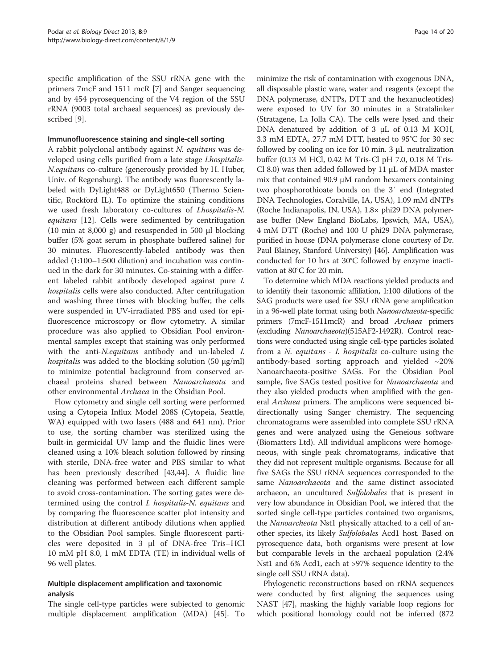specific amplification of the SSU rRNA gene with the primers 7mcF and 1511 mcR [\[7\]](#page-18-0) and Sanger sequencing and by 454 pyrosequencing of the V4 region of the SSU rRNA (9003 total archaeal sequences) as previously described [[9\]](#page-18-0).

## Immunofluorescence staining and single-cell sorting

A rabbit polyclonal antibody against N. equitans was developed using cells purified from a late stage *I.hospitalis-*N.equitans co-culture (generously provided by H. Huber, Univ. of Regensburg). The antibody was fluorescently labeled with DyLight488 or DyLight650 (Thermo Scientific, Rockford IL). To optimize the staining conditions we used fresh laboratory co-cultures of I.hospitalis-N. equitans [\[12\]](#page-18-0). Cells were sedimented by centrifugation (10 min at 8,000 g) and resuspended in 500 μl blocking buffer (5% goat serum in phosphate buffered saline) for 30 minutes. Fluorescently-labeled antibody was then added (1:100–1:500 dilution) and incubation was continued in the dark for 30 minutes. Co-staining with a different labeled rabbit antibody developed against pure I. hospitalis cells were also conducted. After centrifugation and washing three times with blocking buffer, the cells were suspended in UV-irradiated PBS and used for epifluorescence microscopy or flow cytometry. A similar procedure was also applied to Obsidian Pool environmental samples except that staining was only performed with the anti-*N.equitans* antibody and un-labeled *I.* hospitalis was added to the blocking solution  $(50 \mu g/ml)$ to minimize potential background from conserved archaeal proteins shared between Nanoarchaeota and other environmental Archaea in the Obsidian Pool.

Flow cytometry and single cell sorting were performed using a Cytopeia Influx Model 208S (Cytopeia, Seattle, WA) equipped with two lasers (488 and 641 nm). Prior to use, the sorting chamber was sterilized using the built-in germicidal UV lamp and the fluidic lines were cleaned using a 10% bleach solution followed by rinsing with sterile, DNA-free water and PBS similar to what has been previously described [[43](#page-19-0),[44](#page-19-0)]. A fluidic line cleaning was performed between each different sample to avoid cross-contamination. The sorting gates were determined using the control I. hospitalis-N. equitans and by comparing the fluorescence scatter plot intensity and distribution at different antibody dilutions when applied to the Obsidian Pool samples. Single fluorescent particles were deposited in 3 μl of DNA-free Tris–HCl 10 mM pH 8.0, 1 mM EDTA (TE) in individual wells of 96 well plates.

## Multiple displacement amplification and taxonomic analysis

The single cell-type particles were subjected to genomic multiple displacement amplification (MDA) [[45](#page-19-0)]. To

minimize the risk of contamination with exogenous DNA, all disposable plastic ware, water and reagents (except the DNA polymerase, dNTPs, DTT and the hexanucleotides) were exposed to UV for 30 minutes in a Stratalinker (Stratagene, La Jolla CA). The cells were lysed and their DNA denatured by addition of 3 μL of 0.13 M KOH, 3.3 mM EDTA, 27.7 mM DTT, heated to 95°C for 30 sec followed by cooling on ice for 10 min. 3 μL neutralization buffer (0.13 M HCl, 0.42 M Tris-Cl pH 7.0, 0.18 M Tris-Cl 8.0) was then added followed by 11 μL of MDA master mix that contained 90.9 μM random hexamers containing two phosphorothioate bonds on the 3′ end (Integrated DNA Technologies, Coralville, IA, USA), 1.09 mM dNTPs (Roche Indianapolis, IN, USA), 1.8× phi29 DNA polymerase buffer (New England BioLabs, Ipswich, MA, USA), 4 mM DTT (Roche) and 100 U phi29 DNA polymerase, purified in house (DNA polymerase clone courtesy of Dr. Paul Blainey, Stanford University) [\[46](#page-19-0)]. Amplification was conducted for 10 hrs at 30°C followed by enzyme inactivation at 80°C for 20 min.

To determine which MDA reactions yielded products and to identify their taxonomic affiliation, 1:100 dilutions of the SAG products were used for SSU rRNA gene amplification in a 96-well plate format using both Nanoarchaeota-specific primers (7mcF-1511mcR) and broad Archaea primers (excluding Nanoarchaeota)(515AF2-1492R). Control reactions were conducted using single cell-type particles isolated from a N. equitans - I. hospitalis co-culture using the antibody-based sorting approach and yielded  $\sim$ 20% Nanoarchaeota-positive SAGs. For the Obsidian Pool sample, five SAGs tested positive for Nanoarchaeota and they also yielded products when amplified with the general Archaea primers. The amplicons were sequenced bidirectionally using Sanger chemistry. The sequencing chromatograms were assembled into complete SSU rRNA genes and were analyzed using the Geneious software (Biomatters Ltd). All individual amplicons were homogeneous, with single peak chromatograms, indicative that they did not represent multiple organisms. Because for all five SAGs the SSU rRNA sequences corresponded to the same Nanoarchaeota and the same distinct associated archaeon, an uncultured Sulfolobales that is present in very low abundance in Obsidian Pool, we infered that the sorted single cell-type particles contained two organisms, the Nanoarcheota Nst1 physically attached to a cell of another species, its likely Sulfolobales Acd1 host. Based on pyrosequence data, both organisms were present at low but comparable levels in the archaeal population (2.4% Nst1 and 6% Acd1, each at >97% sequence identity to the single cell SSU rRNA data).

Phylogenetic reconstructions based on rRNA sequences were conducted by first aligning the sequences using NAST [\[47\]](#page-19-0), masking the highly variable loop regions for which positional homology could not be inferred (872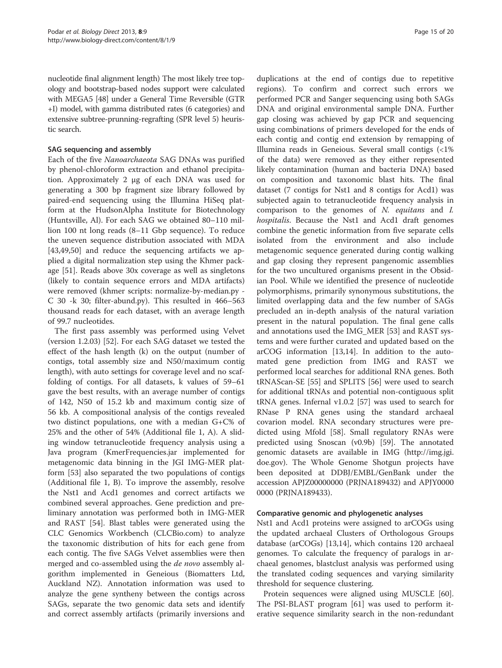nucleotide final alignment length) The most likely tree topology and bootstrap-based nodes support were calculated with MEGA5 [\[48\]](#page-19-0) under a General Time Reversible (GTR +I) model, with gamma distributed rates (6 categories) and extensive subtree-prunning-regrafting (SPR level 5) heuristic search.

## SAG sequencing and assembly

Each of the five Nanoarchaeota SAG DNAs was purified by phenol-chloroform extraction and ethanol precipitation. Approximately 2 μg of each DNA was used for generating a 300 bp fragment size library followed by paired-end sequencing using the Illumina HiSeq platform at the HudsonAlpha Institute for Biotechnology (Huntsville, Al). For each SAG we obtained 80–110 million 100 nt long reads (8–11 Gbp sequence). To reduce the uneven sequence distribution associated with MDA [[43,49,50\]](#page-19-0) and reduce the sequencing artifacts we applied a digital normalization step using the Khmer package [[51\]](#page-19-0). Reads above 30x coverage as well as singletons (likely to contain sequence errors and MDA artifacts) were removed (khmer scripts: normalize-by-median.py - C 30 -k 30; filter-abund.py). This resulted in 466–563 thousand reads for each dataset, with an average length of 99.7 nucleotides.

The first pass assembly was performed using Velvet (version 1.2.03) [[52](#page-19-0)]. For each SAG dataset we tested the effect of the hash length (k) on the output (number of contigs, total assembly size and N50/maximum contig length), with auto settings for coverage level and no scaffolding of contigs. For all datasets, k values of 59–61 gave the best results, with an average number of contigs of 142, N50 of 15.2 kb and maximum contig size of 56 kb. A compositional analysis of the contigs revealed two distinct populations, one with a median G+C% of 25% and the other of 54% (Additional file [1](#page-15-0), A). A sliding window tetranucleotide frequency analysis using a Java program (KmerFrequencies.jar implemented for metagenomic data binning in the JGI IMG-MER platform [[53](#page-19-0)] also separated the two populations of contigs (Additional file [1](#page-15-0), B). To improve the assembly, resolve the Nst1 and Acd1 genomes and correct artifacts we combined several approaches. Gene prediction and preliminary annotation was performed both in IMG-MER and RAST [\[54](#page-19-0)]. Blast tables were generated using the CLC Genomics Workbench (CLCBio.com) to analyze the taxonomic distribution of hits for each gene from each contig. The five SAGs Velvet assemblies were then merged and co-assembled using the *de novo* assembly algorithm implemented in Geneious (Biomatters Ltd, Auckland NZ). Annotation information was used to analyze the gene syntheny between the contigs across SAGs, separate the two genomic data sets and identify and correct assembly artifacts (primarily inversions and

duplications at the end of contigs due to repetitive regions). To confirm and correct such errors we performed PCR and Sanger sequencing using both SAGs DNA and original environmental sample DNA. Further gap closing was achieved by gap PCR and sequencing using combinations of primers developed for the ends of each contig and contig end extension by remapping of Illumina reads in Geneious. Several small contigs (<1% of the data) were removed as they either represented likely contamination (human and bacteria DNA) based on composition and taxonomic blast hits. The final dataset (7 contigs for Nst1 and 8 contigs for Acd1) was subjected again to tetranucleotide frequency analysis in comparison to the genomes of N. equitans and I. hospitalis. Because the Nst1 and Acd1 draft genomes combine the genetic information from five separate cells isolated from the environment and also include metagenomic sequence generated during contig walking and gap closing they represent pangenomic assemblies for the two uncultured organisms present in the Obsidian Pool. While we identified the presence of nucleotide polymorphisms, primarily synonymous substitutions, the limited overlapping data and the few number of SAGs precluded an in-depth analysis of the natural variation present in the natural population. The final gene calls and annotations used the IMG\_MER [\[53\]](#page-19-0) and RAST systems and were further curated and updated based on the arCOG information [[13](#page-18-0),[14](#page-18-0)]. In addition to the automated gene prediction from IMG and RAST we performed local searches for additional RNA genes. Both tRNAScan-SE [\[55\]](#page-19-0) and SPLITS [\[56\]](#page-19-0) were used to search for additional tRNAs and potential non-contiguous split tRNA genes. Infernal v1.0.2 [[57\]](#page-19-0) was used to search for RNase P RNA genes using the standard archaeal covarion model. RNA secondary structures were predicted using Mfold [[58\]](#page-19-0). Small regulatory RNAs were predicted using Snoscan (v0.9b) [\[59](#page-19-0)]. The annotated genomic datasets are available in IMG ([http://img.jgi.](http://img.jgi.doe.gov) [doe.gov\)](http://img.jgi.doe.gov). The Whole Genome Shotgun projects have been deposited at DDBJ/EMBL/GenBank under the accession APJZ00000000 (PRJNA189432) and APJY0000 0000 (PRJNA189433).

### Comparative genomic and phylogenetic analyses

Nst1 and Acd1 proteins were assigned to arCOGs using the updated archaeal Clusters of Orthologous Groups database (arCOGs) [[13,14\]](#page-18-0), which contains 120 archaeal genomes. To calculate the frequency of paralogs in archaeal genomes, blastclust analysis was performed using the translated coding sequences and varying similarity threshold for sequence clustering.

Protein sequences were aligned using MUSCLE [\[60](#page-19-0)]. The PSI-BLAST program [[61](#page-19-0)] was used to perform iterative sequence similarity search in the non-redundant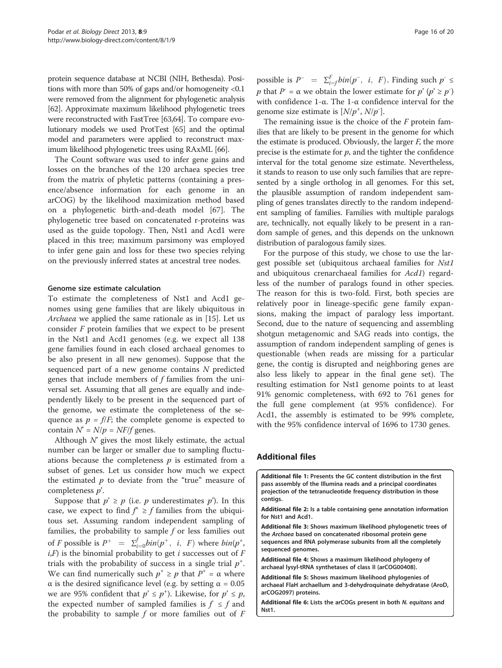<span id="page-15-0"></span>protein sequence database at NCBI (NIH, Bethesda). Positions with more than 50% of gaps and/or homogeneity <0.1 were removed from the alignment for phylogenetic analysis [[62](#page-19-0)]. Approximate maximum likelihood phylogenetic trees were reconstructed with FastTree [\[63,64\]](#page-19-0). To compare evolutionary models we used ProtTest [[65](#page-19-0)] and the optimal model and parameters were applied to reconstruct maximum likelihood phylogenetic trees using RAxML [\[66](#page-19-0)].

The Count software was used to infer gene gains and losses on the branches of the 120 archaea species tree from the matrix of phyletic patterns (containing a presence/absence information for each genome in an arCOG) by the likelihood maximization method based on a phylogenetic birth-and-death model [\[67\]](#page-19-0). The phylogenetic tree based on concatenated r-proteins was used as the guide topology. Then, Nst1 and Acd1 were placed in this tree; maximum parsimony was employed to infer gene gain and loss for these two species relying on the previously inferred states at ancestral tree nodes.

### Genome size estimate calculation

To estimate the completeness of Nst1 and Acd1 genomes using gene families that are likely ubiquitous in Archaea we applied the same rationale as in [[15](#page-18-0)]. Let us consider F protein families that we expect to be present in the Nst1 and Acd1 genomes (e.g. we expect all 138 gene families found in each closed archaeal genomes to be also present in all new genomes). Suppose that the sequenced part of a new genome contains  $N$  predicted genes that include members of  $f$  families from the universal set. Assuming that all genes are equally and independently likely to be present in the sequenced part of the genome, we estimate the completeness of the sequence as  $p = f/F$ ; the complete genome is expected to contain  $N' = N/p = NF/f$  genes.

Although  $N'$  gives the most likely estimate, the actual number can be larger or smaller due to sampling fluctuations because the completeness  $p$  is estimated from a subset of genes. Let us consider how much we expect the estimated  $p$  to deviate from the "true" measure of completeness p'.

Suppose that  $p' \geq p$  (i.e. p underestimates p'). In this case, we expect to find  $f^* \geq f$  families from the ubiquitous set. Assuming random independent sampling of families, the probability to sample  $f$  or less families out of F possible is  $P^+ = \sum_{i=0}^f bin(p^+, i, F)$  where  $bin(p^+, i, F)$  $i, F$ ) is the binomial probability to get i successes out of F trials with the probability of success in a single trial  $p^+$ . We can find numerically such  $p^+ \geq p$  that  $P^+ = \alpha$  where α is the desired significance level (e.g. by setting α = 0.05 we are 95% confident that  $p' \leq p^+$ ). Likewise, for  $p' \leq p$ , the expected number of sampled families is  $f \leq f$  and the probability to sample  $f$  or more families out of  $F$ 

possible is  $P^- = \sum_{i=f}^{F} bin(p^-, i, F)$ . Finding such  $p^- \leq$ p that  $P = \alpha$  we obtain the lower estimate for  $p' (p' \ge p')$ with confidence 1-α. The 1-α confidence interval for the genome size estimate is  $[N/p^+, N/p^+]$ .

The remaining issue is the choice of the  $F$  protein families that are likely to be present in the genome for which the estimate is produced. Obviously, the larger  $F$ , the more precise is the estimate for  $p$ , and the tighter the confidence interval for the total genome size estimate. Nevertheless, it stands to reason to use only such families that are represented by a single ortholog in all genomes. For this set, the plausible assumption of random independent sampling of genes translates directly to the random independent sampling of families. Families with multiple paralogs are, technically, not equally likely to be present in a random sample of genes, and this depends on the unknown distribution of paralogous family sizes.

For the purpose of this study, we chose to use the largest possible set (ubiquitous archaeal families for Nst1 and ubiquitous crenarchaeal families for Acd1) regardless of the number of paralogs found in other species. The reason for this is two-fold. First, both species are relatively poor in lineage-specific gene family expansions, making the impact of paralogy less important. Second, due to the nature of sequencing and assembling shotgun metagenomic and SAG reads into contigs, the assumption of random independent sampling of genes is questionable (when reads are missing for a particular gene, the contig is disrupted and neighboring genes are also less likely to appear in the final gene set). The resulting estimation for Nst1 genome points to at least 91% genomic completeness, with 692 to 761 genes for the full gene complement (at 95% confidence). For Acd1, the assembly is estimated to be 99% complete, with the 95% confidence interval of 1696 to 1730 genes.

## Additional files

[Additional file 1:](http://www.biomedcentral.com/content/supplementary/1745-6150-8-9-S1.pdf) Presents the GC content distribution in the first pass assembly of the Illumina reads and a principal coordinates projection of the tetranucleotide frequency distribution in those contigs. [Additional file 2:](http://www.biomedcentral.com/content/supplementary/1745-6150-8-9-S2.pdf) Is a table containing gene annotation information for Nst1 and Acd1.

[Additional file 3:](http://www.biomedcentral.com/content/supplementary/1745-6150-8-9-S3.pdf) Shows maximum likelihood phylogenetic trees of the Archaea based on concatenated ribosomal protein gene sequences and RNA polymerase subunits from all the completely sequenced genomes.

[Additional file 4:](http://www.biomedcentral.com/content/supplementary/1745-6150-8-9-S4.pdf) Shows a maximum likelihood phylogeny of archaeal lysyl-tRNA synthetases of class II (arCOG00408).

[Additional file 5:](http://www.biomedcentral.com/content/supplementary/1745-6150-8-9-S5.pdf) Shows maximum likelihood phylogenies of archaeal FlaH archaellum and 3-dehydroquinate dehydratase (AroD, arCOG2097) proteins.

[Additional file 6:](http://www.biomedcentral.com/content/supplementary/1745-6150-8-9-S6.pdf) Lists the arCOGs present in both N. equitans and Nst1.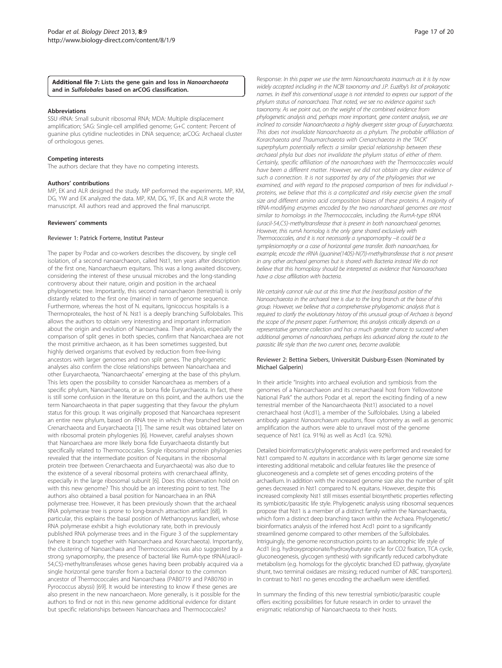#### <span id="page-16-0"></span>[Additional file 7:](http://www.biomedcentral.com/content/supplementary/1745-6150-8-9-S7.pdf) Lists the gene gain and loss in Nanoarchaeota and in Sulfolobales based on arCOG classification.

#### Abbreviations

SSU rRNA: Small subunit ribosomal RNA; MDA: Multiple displacement amplification; SAG: Single-cell amplified genome; G+C content: Percent of guanine plus cytidine nucleotides in DNA sequence; arCOG: Archaeal cluster of orthologous genes.

#### Competing interests

The authors declare that they have no competing interests.

#### Authors' contributions

MP, EK and ALR designed the study. MP performed the experiments. MP, KM, DG, YW and EK analyzed the data. MP, KM, DG, YF, EK and ALR wrote the manuscript. All authors read and approved the final manuscript.

#### Reviewers' comments

#### Reviewer 1: Patrick Forterre, Institut Pasteur

The paper by Podar and co-workers describes the discovery, by single cell isolation, of a second nanoarchaeon, called Nst1, ten years after description of the first one, Nanoarchaeum equitans. This was a long awaited discovery, considering the interest of these unusual microbes and the long-standing controversy about their nature, origin and position in the archaeal phylogenetic tree. Importantly, this second nanoarchaeon (terrestrial) is only distantly related to the first one (marine) in term of genome sequence. Furthermore, whereas the host of N. equitans, Ignicoccus hospitalis is a Thermoproteales, the host of N. Nst1 is a deeply branching Sulfolobales. This allows the authors to obtain very interesting and important information about the origin and evolution of Nanoarchaea. Their analysis, especially the comparison of split genes in both species, confirm that Nanoarchaea are not the most primitive archaeon, as it has been sometimes suggested, but highly derived organisms that evolved by reduction from free-living ancestors with larger genomes and non split genes. The phylogenetic analyses also confirm the close relationships between Nanoarchaea and other Euryarchaeota, "Nanoarchaeota" emerging at the base of this phylum. This lets open the possibility to consider Nanoarchaea as members of a specific phylum, Nanoarchaeota, or as bona fide Euryarchaeota. In fact, there is still some confusion in the literature on this point, and the authors use the term Nanoarchaeota in that paper suggesting that they favour the phylum status for this group. It was originally proposed that Nanoarchaea represent an entire new phylum, based on rRNA tree in which they branched between Crenarchaeota and Euryarchaeota [\[1](#page-18-0)]. The same result was obtained later on with ribosomal protein phylogenies [[6](#page-18-0)]. However, careful analyses shown that Nanoarchaea are more likely bona fide Euryarchaeota distantly but specifically related to Thermococcales. Single ribosomal protein phylogenies revealed that the intermediate position of N.equitans in the ribosomal protein tree (between Crenarchaeota and Euryarchaeota) was also due to the existence of a several ribosomal proteins with crenarchaeal affinity, especially in the large ribosomal subunit [[6\]](#page-18-0). Does this observation hold on with this new genome? This should be an interesting point to test. The authors also obtained a basal position for Nanoarchaea in an RNA polymerase tree. However, it has been previously shown that the archaeal RNA polymerase tree is prone to long-branch attraction artifact [[68\]](#page-19-0). In particular, this explains the basal position of Methanopyrus kandleri, whose RNA polymerase exhibit a high evolutionary rate, both in previously published RNA polymerase trees and in the Figure [3](#page-4-0) of the supplementary (where it branch together with Nanoarchaea and Korarchaeota). Importantly, the clustering of Nanoarchaea and Thermococcales was also suggested by a strong synapomorphy, the presence of bacterial like RumA-type tRNA(uracil-54,C5)-methyltransferases whose genes having been probably acquired via a single horizontal gene transfer from a bacterial donor to the common ancestor of Thermococcales and Nanoarchaea (PAB0719 and PAB0760 in Pyrococcus abyssi) [[69\]](#page-19-0). It would be interesting to know if these genes are also present in the new nanoarchaeon. More generally, is it possible for the authors to find or not in this new genome additional evidence for distant but specific relationships between Nanoarchaea and Thermococcales?

Response: In this paper we use the term Nanoarchaeota inasmuch as it is by now widely accepted including in the NCBI taxonomy and J.P. Euzéby's list of prokaryotic names. In itself this conventional usage is not intended to express our support of the phylum status of nanoarchaea. That noted, we see no evidence against such taxonomy. As we point out, on the weight of the combined evidence from phylogenetic analysis and, perhaps more important, gene content analysis, we are inclined to consider Nanoarchaeota a highly divergent sister group of Euryarchaeota. This does not invalidate Nanoarchaeota as a phylum. The probable affiliation of Korarchaeota and Thaumarchaeota with Crenarchaeota in the 'TACK' superphylum potentially reflects a similar special relationship between these archaeal phyla but does not invalidate the phylum status of either of them. Certainly, specific affiliation of the nanoarchaea with the Thermococcales would have been a different matter. However, we did not obtain any clear evidence of such a connection. It is not supported by any of the phylogenies that we examined, and with regard to the proposed comparison of trees for individual rproteins, we believe that this is a complicated and risky exercise given the small size and different amino acid composition biases of these proteins. A majority of tRNA-modifying enzymes encoded by the two nanoarchaeal genomes are most similar to homologs in the Thermococcales, including the RumA-type tRNA (uracil-54,C5)-methyltransferase that is present in both nanoarchaeal genomes. However, this rumA homolog is the only gene shared exclusively with Thermococcales, and it is not necessarily a synapomorphy –it could be a symplesiomorphy or a case of horizontal gene transfer. Both nanoarchaea, for example, encode the rRNA (guanine(1405)-N(7))-methyltransferase that is not present in any other archaeal genomes but is shared with Bacteria instead We do not believe that this homoplasy should be interpreted as evidence that Nanoarachaea have a close affiliation with bacteria.

We certainly cannot rule out at this time that the (near)basal position of the Nanoarchaeota in the archaeal tree is due to the long branch at the base of this group. However, we believe that a comprehensive phylogenomic analysis that is required to clarify the evolutionary history of this unusual group of Archaea is beyond the scope of the present paper. Furthermore, this analysis critically depends on a representative genome collection and has a much greater chance to succeed when additional genomes of nanoarchaea, perhaps less advanced along the route to the parasitic life style than the two current ones, become available.

#### Reviewer 2: Bettina Siebers, Universität Duisburg-Essen (Nominated by Michael Galperin)

In their article "Insights into archaeal evolution and symbiosis from the genomes of a Nanoarchaeon and its crenarchaeal host from Yellowstone National Park" the authors Podar et al. report the exciting finding of a new terrestrial member of the Nanoarchaeota (Nst1) associated to a novel crenarchaeal host (Acd1), a member of the Sulfolobales. Using a labeled antibody against Nanoarchaeum equitans, flow cytometry as well as genomic amplification the authors were able to unravel most of the genome sequence of Nst1 (ca. 91%) as well as Acd1 (ca. 92%).

Detailed bioinformatics/phylogenetic analysis were performed and revealed for Nst1 compared to N. equitans in accordance with its larger genome size some interesting additional metabolic and cellular features like the presence of gluconeogenesis and a complete set of genes encoding proteins of the archaellum. In addition with the increased genome size also the number of split genes decreased in Nst1 compared to N. equitans. However, despite this increased complexity Nst1 still misses essential biosynthetic properties reflecting its symbiotic/parasitic life style. Phylogenetic analysis using ribosomal sequences propose that Nst1 is a member of a distinct family within the Nanoarchaeota, which form a distinct deep branching taxon within the Archaea. Phylogenetic/ bioinformatics analysis of the inferred host Acd1 point to a significantly streamlined genome compared to other members of the Sulfolobales. Intriguingly, the genome reconstruction points to an autotrophic life style of Acd1 (e.g. hydroxypropionate/hydroxybutyrate cycle for CO2 fixation, TCA cycle, gluconeogenesis, glycogen synthesis) with significantly reduced carbohydrate metabolism (e.g. homologs for the glycolytic branched ED pathway, glyoxylate shunt, two terminal oxidases are missing; reduced number of ABC transporters). In contrast to Nst1 no genes encoding the archaellum were identified.

In summary the finding of this new terrestrial symbiotic/parasitic couple offers exciting possibilities for future research in order to unravel the enigmatic relationship of Nanoarchaeota to their hosts.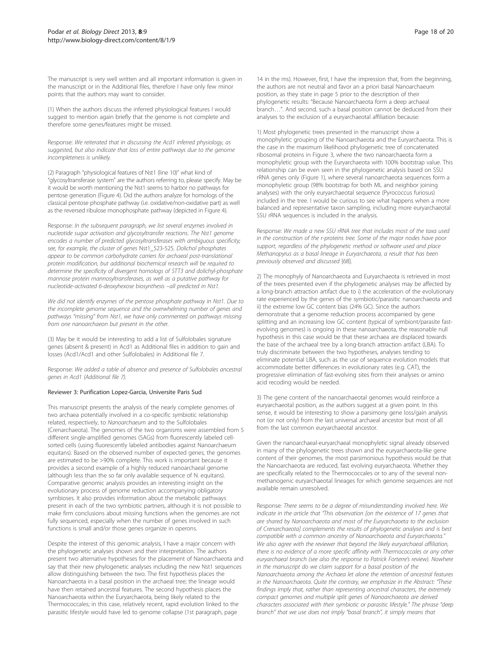The manuscript is very well written and all important information is given in the manuscript or in the Additional files, therefore I have only few minor points that the authors may want to consider.

(1) When the authors discuss the inferred physiological features I would suggest to mention again briefly that the genome is not complete and therefore some genes/features might be missed.

Response: We reiterated that in discussing the Acd1 inferred physiology, as suggested, but also indicate that loss of entire pathways due to the genome incompleteness is unlikely.

(2) Paragraph "physiological features of Nst1 (line 10)" what kind of "glycosyltransferase system" are the authors referring to, please specify. May be it would be worth mentioning the Nst1 seems to harbor no pathways for pentose generation (Figure [4\)](#page-5-0). Did the authors analyze for homologs of the classical pentose phosphate pathway (i.e. oxidative/non-oxidative part) as well as the reversed ribulose monophosphate pathway (depicted in Figure [4\)](#page-5-0).

Response: In the subsequent paragraph, we list several enzymes involved in nucleotide sugar activation and glycosyltransfer reactions. The Nst1 genome encodes a number of predicted glycosyltransferases with ambiguous specificity; see, for example, the cluster of genes Nst1\_523-525. Dolichol phosphates appear to be common carbohydrate carriers for archaeal post-translational protein modification, but additional biochemical research will be required to determine the specificity of divergent homologs of STT3 and dolichyl-phosphate mannose protein mannosyltransferases, as well as a putative pathway for nucleotide-activated 6-deoxyhexose biosynthesis –all predicted in Nst1.

We did not identify enzymes of the pentose phosphate pathway in Nst1. Due to the incomplete genome sequence and the overwhelming number of genes and pathways "missing" from Nst1, we have only commented on pathways missing from one nanoarchaeon but present in the other.

(3) May be it would be interesting to add a list of Sulfolobales signature genes (absent & present) in Acd1 as Additional files in addition to gain and losses (Acd1/Acd1 and other Sulfolobales) in Additional file [7](#page-16-0).

Response: We added a table of absence and presence of Sulfolobales ancestral genes in Acd1 (Additional file [7\)](#page-16-0).

#### Reviewer 3: Purification Lopez-Garcia, Universite Paris Sud

This manuscript presents the analysis of the nearly complete genomes of two archaea potentially involved in a co-specific symbiotic relationship related, respectively, to Nanoarchaeum and to the Sulfolobales (Crenarchaeota). The genomes of the two organisms were assembled from 5 different single-amplified genomes (SAGs) from fluorescently labeled cellsorted cells (using fluorescently labeled antibodies against Nanoarchaeum equitans). Based on the observed number of expected genes, the genomes are estimated to be >90% complete. This work is important because it provides a second example of a highly reduced nanoarchaeal genome (although less than the so far only available sequence of N. equitans). Comparative genomic analysis provides an interesting insight on the evolutionary process of genome reduction accompanying obligatory symbioses. It also provides information about the metabolic pathways present in each of the two symbiotic partners, although it is not possible to make firm conclusions about missing functions when the genomes are not fully sequenced, especially when the number of genes involved in such functions is small and/or those genes organize in operons.

Despite the interest of this genomic analysis, I have a major concern with the phylogenetic analyses shown and their interpretation. The authors present two alternative hypotheses for the placement of Nanoarchaeota and say that their new phylogenetic analyses including the new Nst1 sequences allow distinguishing between the two. The first hypothesis places the Nanoarchaeota in a basal position in the archaeal tree; the lineage would have then retained ancestral features. The second hypothesis places the Nanoarchaeota within the Euryarchaeota, being likely related to the Thermococcales; in this case, relatively recent, rapid evolution linked to the parasitic lifestyle would have led to genome collapse (1st paragraph, page

14 in the ms). However, first, I have the impression that, from the beginning, the authors are not neutral and favor an a priori basal Nanoarchaeum position, as they state in page 5 prior to the description of their phylogenetic results: "Because Nanoarchaeota form a deep archaeal branch…". And second, such a basal position cannot be deduced from their analyses to the exclusion of a euryarchaeotal affiliation because:

1) Most phylogenetic trees presented in the manuscript show a monophyletic grouping of the Nanoarchaeota and the Euryarchaeota. This is the case in the maximum likelihood phylogenetic tree of concatenated ribosomal proteins in Figure [3,](#page-4-0) where the two nanoarchaeota form a monophyletic group with the Euryarchaeota with 100% bootstrap value. This relationship can be even seen in the phylogenetic analysis based on SSU rRNA genes only (Figure [1\)](#page-2-0), where several nanoarchaeota sequences form a monophyletic group (98% bootstrap for both ML and neighbor joining analyses) with the only euryarchaeotal sequence (Pyrococcus furiosus) included in the tree. I would be curious to see what happens when a more balanced and representative taxon sampling, including more euryarchaeotal SSU rRNA sequences is included in the analysis.

Response: We made a new SSU rRNA tree that includes most of the taxa used in the construction of the r-proteins tree. Some of the major nodes have poor support, regardless of the phylogenetic method or software used and place Methanopyrus as a basal lineage in Euryarchaeota, a result that has been previously observed and discussed [\[68](#page-19-0)].

2) The monophyly of Nanoarchaeota and Euryarchaeota is retrieved in most of the trees presented even if the phylogenetic analyses may be affected by a long-branch attraction artifact due to i) the acceleration of the evolutionary rate experienced by the genes of the symbiotic/parasitic nanoarchaeota and ii) the extreme low GC content bias (24% GC). Since the authors demonstrate that a genome reduction process accompanied by gene splitting and an increasing low GC content (typical of symbiont/parasite fastevolving genomes) is ongoing in these nanoarchaeota, the reasonable null hypothesis in this case would be that these archaea are displaced towards the base of the archaeal tree by a long-branch attraction artifact (LBA). To truly discriminate between the two hypotheses, analyses tending to eliminate potential LBA, such as the use of sequence evolution models that accommodate better differences in evolutionary rates (e.g. CAT), the progressive elimination of fast-evolving sites from their analyses or amino acid recoding would be needed.

3) The gene content of the nanoarchaeotal genomes would reinforce a euryarchaeotal position, as the authors suggest at a given point. In this sense, it would be interesting to show a parsimony gene loss/gain analysis not (or not only) from the last universal archaeal ancestor but most of all from the last common euryarchaeotal ancestor.

Given the nanoarchaeal-euryarchaeal monophyletic signal already observed in many of the phylogenetic trees shown and the euryarchaeota-like gene content of their genomes, the most parsimonious hypothesis would be that the Nanoarchaeota are reduced, fast evolving euryarchaeota. Whether they are specifically related to the Thermococcales or to any of the several nonmethanogenic euryarchaeotal lineages for which genome sequences are not available remain unresolved.

Response: There seems to be a degree of misunderstanding involved here. We indicate in the article that "This observation [on the existence of 17 genes that are shared by Nanoarchaeota and most of the Euryarchaoeta to the exclusion of Crenarchaeota] complements the results of phylogenetic analyses and is best compatible with a common ancestry of Nanoarchaeota and Euryarchaeota." We also agree with the reviewer that beyond the likely euryarchaeal affiliation, there is no evidence of a more specific affinity with Thermococcales or any other euryarchaeal branch (see also the response to Patrick Forterre's review). Nowhere in the manuscript do we claim support for a basal position of the Nanoarchaeota among the Archaea let alone the retention of ancestral features in the Nanoarchaeota. Quite the contrary, we emphasize in the Abstract: "These findings imply that, rather than representing ancestral characters, the extremely compact genomes and multiple split genes of Nanoarchaeota are derived characters associated with their symbiotic or parasitic lifestyle." The phrase "deep branch" that we use does not imply "basal branch", it simply means that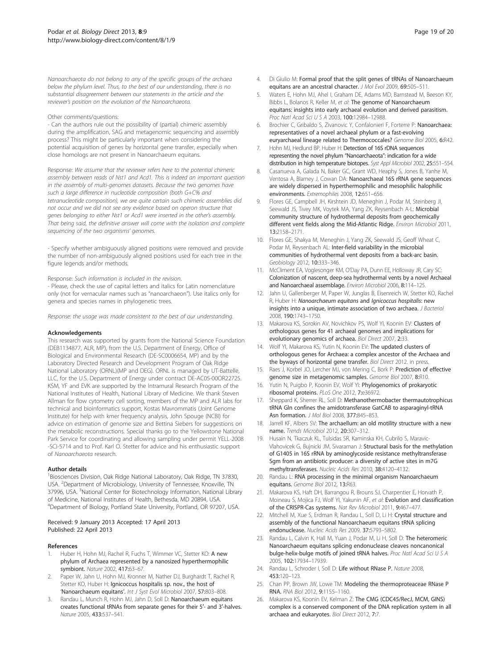<span id="page-18-0"></span>Nanoarchaeota do not belong to any of the specific groups of the archaea below the phylum level. Thus, to the best of our understanding, there is no substantial disagreement between our statements in the article and the reviewer's position on the evolution of the Nanoarchaeota.

#### Other comments/questions:

- Can the authors rule out the possibility of (partial) chimeric assembly during the amplification, SAG and metagenomic sequencing and assembly process? This might be particularly important when considering the potential acquisition of genes by horizontal gene transfer, especially when close homologs are not present in Nanoarchaeum equitans.

Response: We assume that the reviewer refers here to the potential chimeric assembly between reads of Nst1 and Acd1. This is indeed an important question in the assembly of multi-genomes datasets. Because the two genomes have such a large difference in nucleotide composition (both G+C% and tetranucleotide composition), we are quite certain such chimeric assemblies did not occur and we did not see any evidence based on operon structure that genes belonging to either Nst1 or Acd1 were inserted in the other's assembly. That being said, the definitive answer will come with the isolation and complete sequencing of the two organisms' genomes.

- Specify whether ambiguously aligned positions were removed and provide the number of non-ambiguously aligned positions used for each tree in the figure legends and/or methods.

Response: Such information is included in the revision.

- Please, check the use of capital letters and italics for Latin nomenclature only (not for vernacular names such as "nanoarchaeon"). Use italics only for genera and species names in phylogenetic trees.

Response: the usage was made consistent to the best of our understanding.

#### Acknowledgements

This research was supported by grants from the National Science Foundation (DEB1134877, ALR, MP), from the U.S. Department of Energy, Office of Biological and Environmental Research (DE-SC0006654, MP) and by the Laboratory Directed Research and Development Program of Oak Ridge National Laboratory (ORNL)(MP and DEG). ORNL is managed by UT-Battelle, LLC, for the U.S. Department of Energy under contract DE-AC05-00OR22725. KSM, YF and EVK are supported by the Intramural Research Program of the National Institutes of Health, National Library of Medicine. We thank Steven Allman for flow cytometry cell sorting, members of the MP and ALR labs for technical and bioinformatics support, Kostas Mavrommatis (Joint Genome Institute) for help with kmer frequency analysis, John Spouge (NCBI) for advice on estimation of genome size and Bettina Siebers for suggestions on the metabolic reconstructions. Special thanks go to the Yellowstone National Park Service for coordinating and allowing sampling under permit YELL-2008 -SCI-5714 and to Prof. Karl O. Stetter for advice and his enthusiastic support of Nanoarchaeota research.

#### Author details

<sup>1</sup> Biosciences Division, Oak Ridge National Laboratory, Oak Ridge, TN 37830, USA. <sup>2</sup>Department of Microbiology, University of Tennessee, Knoxville, TN 37996, USA. <sup>3</sup>National Center for Biotechnology Information, National Library of Medicine, National Institutes of Health, Bethesda, MD 20894, USA. 4 Department of Biology, Portland State University, Portland, OR 97207, USA.

#### Received: 9 January 2013 Accepted: 17 April 2013 Published: 22 April 2013

#### References

- 1. Huber H, Hohn MJ, Rachel R, Fuchs T, Wimmer VC, Stetter KO: A new phylum of Archaea represented by a nanosized hyperthermophilic symbiont. Nature 2002, 417:63–67.
- Paper W, Jahn U, Hohn MJ, Kronner M, Nather DJ, Burghardt T, Rachel R, Stetter KO, Huber H: Ignicoccus hospitalis sp. nov., the host of 'Nanoarchaeum equitans'. Int J Syst Evol Microbiol 2007, 57:803-808.
- 3. Randau L, Munch R, Hohn MJ, Jahn D, Soll D: Nanoarchaeum equitans creates functional tRNAs from separate genes for their 5′- and 3′-halves. Nature 2005, 433:537–541.
- Di Giulio M: Formal proof that the split genes of tRNAs of Nanoarchaeum equitans are an ancestral character. J Mol Evol 2009, 69:505–511.
- 5. Waters E, Hohn MJ, Ahel I, Graham DE, Adams MD, Barnstead M, Beeson KY Bibbs L, Bolanos R, Keller M, et al: The genome of Nanoarchaeum equitans: insights into early archaeal evolution and derived parasitism. Proc Natl Acad Sci U S A 2003, 100:12984–12988.
- 6. Brochier C, Gribaldo S, Zivanovic Y, Confalonieri F, Forterre P: Nanoarchaea: representatives of a novel archaeal phylum or a fast-evolving euryarchaeal lineage related to Thermococcales? Genome Biol 2005, 6:R42.
- 7. Hohn MJ, Hedlund BP, Huber H: Detection of 16S rDNA sequences representing the novel phylum "Nanoarchaeota": indication for a wide distribution in high temperature biotopes. Syst Appl Microbiol 2002, 25:551–554.
- 8. Casanueva A, Galada N, Baker GC, Grant WD, Heaphy S, Jones B, Yanhe M, Ventosa A, Blamey J, Cowan DA: Nanoarchaeal 16S rRNA gene sequences are widely dispersed in hyperthermophilic and mesophilic halophilic environments. Extremophiles 2008, 12:651–656.
- 9. Flores GE, Campbell JH, Kirshtein JD, Meneghin J, Podar M, Steinberg JI, Seewald JS, Tivey MK, Voytek MA, Yang ZK, Reysenbach A-L: Microbial community structure of hydrothermal deposits from geochemically different vent fields along the Mid-Atlantic Ridge. Environ Microbiol 2011, 13:2158–2171.
- 10. Flores GE, Shakya M, Meneghin J, Yang ZK, Seewald JS, Geoff Wheat C, Podar M, Reysenbach AL: Inter-field variability in the microbial communities of hydrothermal vent deposits from a back-arc basin. Geobiology 2012, 10:333-346.
- 11. McCliment EA, Voglesonger KM, O'Day PA, Dunn EE, Holloway JR, Cary SC: Colonization of nascent, deep-sea hydrothermal vents by a novel Archaeal and Nanoarchaeal assemblage. Environ Microbiol 2006, 8:114–125.
- 12. Jahn U, Gallenberger M, Paper W, Junglas B, Eisenreich W, Stetter KO, Rachel R, Huber H: Nanoarchaeum equitans and Ignicoccus hospitalis: new insights into a unique, intimate association of two archaea. J Bacteriol 2008, 190:1743–1750.
- 13. Makarova KS, Sorokin AV, Novichkov PS, Wolf YI, Koonin EV: Clusters of orthologous genes for 41 archaeal genomes and implications for evolutionary genomics of archaea. Biol Direct 2007, 2:33.
- 14. Wolf YI, Makarova KS, Yutin N, Koonin EV: The updated clusters of orthologous genes for Archaea: a complex ancestor of the Archaea and the byways of horizontal gene transfer. Biol Direct 2012. in press.
- 15. Raes J, Korbel JO, Lercher MJ, von Mering C, Bork P: Prediction of effective genome size in metagenomic samples. Genome Biol 2007, 8:R10.
- 16. Yutin N, Puigbo P, Koonin EV, Wolf YI: Phylogenomics of prokaryotic ribosomal proteins. PLoS One 2012, 7:e36972.
- 17. Sheppard K, Sherrer RL, Soll D: Methanothermobacter thermautotrophicus tRNA Gln confines the amidotransferase GatCAB to asparaginyl-tRNA Asn formation. J Mol Biol 2008, 377:845–853.
- 18. Jarrell KF, Albers SV: The archaellum: an old motility structure with a new name. Trends Microbiol 2012, 20:307–312.
- 19. Husain N, Tkaczuk KL, Tulsidas SR, Kaminska KH, Cubrilo S, Maravic-Vlahovicek G, Bujnicki JM, Sivaraman J: Structural basis for the methylation of G1405 in 16S rRNA by aminoglycoside resistance methyltransferase Sgm from an antibiotic producer: a diversity of active sites in m7G methyltransferases. Nucleic Acids Res 2010, 38:4120–4132.
- 20. Randau L: RNA processing in the minimal organism Nanoarchaeum equitans. Genome Biol 2012, 13:R63.
- 21. Makarova KS, Haft DH, Barrangou R, Brouns SJ, Charpentier E, Horvath P, Moineau S, Mojica FJ, Wolf YI, Yakunin AF, et al: Evolution and classification of the CRISPR-Cas systems. Nat Rev Microbiol 2011, 9:467–477.
- 22. Mitchell M, Xue S, Erdman R, Randau L, Soll D, Li H: Crystal structure and assembly of the functional Nanoarchaeum equitans tRNA splicing endonuclease. Nucleic Acids Res 2009, 37:5793–5802.
- 23. Randau L, Calvin K, Hall M, Yuan J, Podar M, Li H, Soll D: The heteromeric Nanoarchaeum equitans splicing endonuclease cleaves noncanonical bulge-helix-bulge motifs of joined tRNA halves. Proc Natl Acad Sci U S A 2005, 102:17934–17939.
- 24. Randau L, Schroder I, Soll D: Life without RNase P. Nature 2008, 453:120–123.
- 25. Chan PP, Brown JW, Lowe TM: Modeling the thermoproteaceae RNase P RNA. RNA Biol 2012, 9:1155–1160.
- 26. Makarova KS, Koonin EV, Kelman Z: The CMG (CDC45/RecJ, MCM, GINS) complex is a conserved component of the DNA replication system in all archaea and eukaryotes. Biol Direct 2012, 7:7.